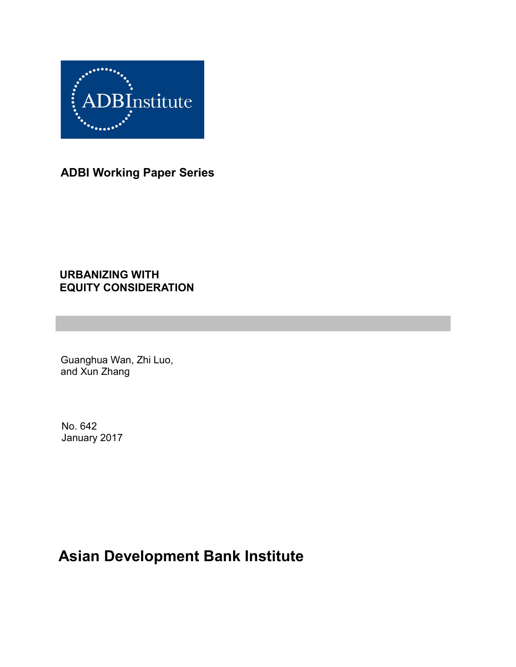

**ADBI Working Paper Series**

### **URBANIZING WITH EQUITY CONSIDERATION**

Guanghua Wan, Zhi Luo, and Xun Zhang

No. 642 January 2017

# **Asian Development Bank Institute**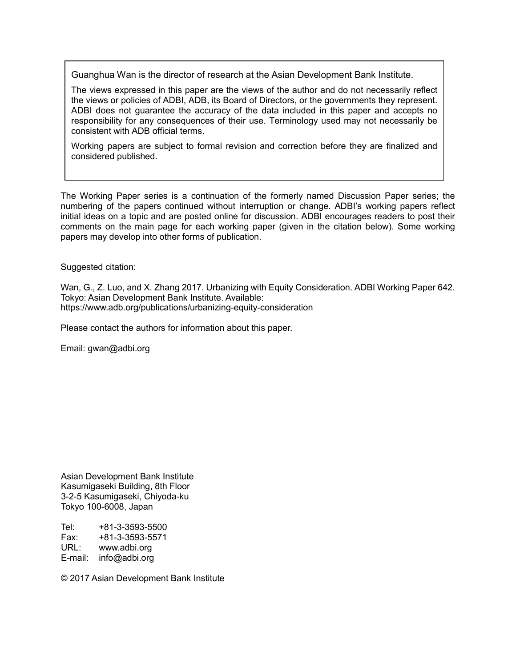Guanghua Wan is the director of research at the Asian Development Bank Institute.

The views expressed in this paper are the views of the author and do not necessarily reflect the views or policies of ADBI, ADB, its Board of Directors, or the governments they represent. ADBI does not guarantee the accuracy of the data included in this paper and accepts no responsibility for any consequences of their use. Terminology used may not necessarily be consistent with ADB official terms.

Working papers are subject to formal revision and correction before they are finalized and considered published.

The Working Paper series is a continuation of the formerly named Discussion Paper series; the numbering of the papers continued without interruption or change. ADBI's working papers reflect initial ideas on a topic and are posted online for discussion. ADBI encourages readers to post their comments on the main page for each working paper (given in the citation below). Some working papers may develop into other forms of publication.

Suggested citation:

Wan, G., Z. Luo, and X. Zhang 2017. Urbanizing with Equity Consideration. ADBI Working Paper 642. Tokyo: Asian Development Bank Institute. Available: https://www.adb.org/publications/urbanizing-equity-consideration

Please contact the authors for information about this paper.

Email: gwan@adbi.org

Asian Development Bank Institute Kasumigaseki Building, 8th Floor 3-2-5 Kasumigaseki, Chiyoda-ku Tokyo 100-6008, Japan

Tel: +81-3-3593-5500 Fax: +81-3-3593-5571 www.adbi.org E-mail: info@adbi.org

© 2017 Asian Development Bank Institute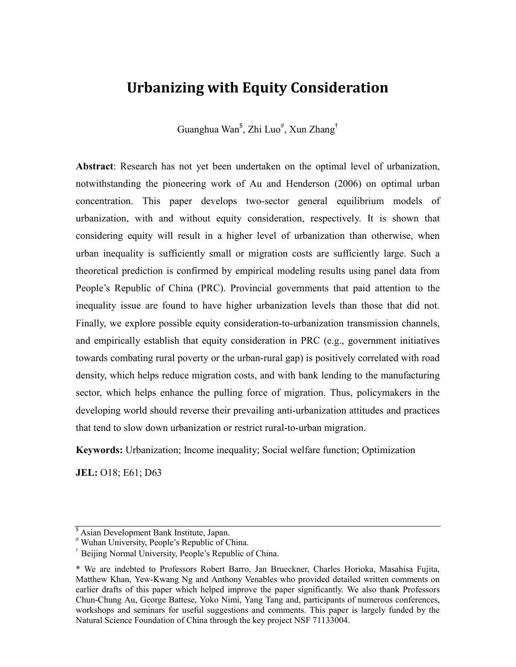# **Urbanizing with Equity Consideration**

Guanghua Wan $^{\$}$ , Zhi Luo $^{\#}$ , Xun Zhang $^{\dag}$ 

**Abstract**: Research has not yet been undertaken on the optimal level of urbanization, notwithstanding the pioneering work of Au and Henderson (2006) on optimal urban concentration. This paper develops two-sector general equilibrium models of urbanization, with and without equity consideration, respectively. It is shown that considering equity will result in a higher level of urbanization than otherwise, when urban inequality is sufficiently small or migration costs are sufficiently large. Such a theoretical prediction is confirmed by empirical modeling results using panel data from People's Republic of China (PRC). Provincial governments that paid attention to the inequality issue are found to have higher urbanization levels than those that did not. Finally, we explore possible equity consideration-to-urbanization transmission channels, and empirically establish that equity consideration in PRC (e.g., government initiatives towards combating rural poverty or the urban-rural gap) is positively correlated with road density, which helps reduce migration costs, and with bank lending to the manufacturing sector, which helps enhance the pulling force of migration. Thus, policymakers in the developing world should reverse their prevailing anti-urbanization attitudes and practices that tend to slow down urbanization or restrict rural-to-urban migration.

**Keywords:** Urbanization; Income inequality; Social welfare function; Optimization

**JEL:** O18; E61; D63

<sup>\$</sup> Asian Development Bank Institute, Japan.

<sup>#</sup> Wuhan University, People's Republic of China.

<sup>†</sup> Beijing Normal University, People's Republic of China.

<sup>\*</sup> We are indebted to Professors Robert Barro, Jan Brueckner, Charles Horioka, Masahisa Fujita, Matthew Khan, Yew-Kwang Ng and Anthony Venables who provided detailed written comments on earlier drafts of this paper which helped improve the paper significantly. We also thank Professors Chun-Chung Au, George Battese, Yoko Nimi, Yang Tang and, participants of numerous conferences, workshops and seminars for useful suggestions and comments. This paper is largely funded by the Natural Science Foundation of China through the key project NSF 71133004.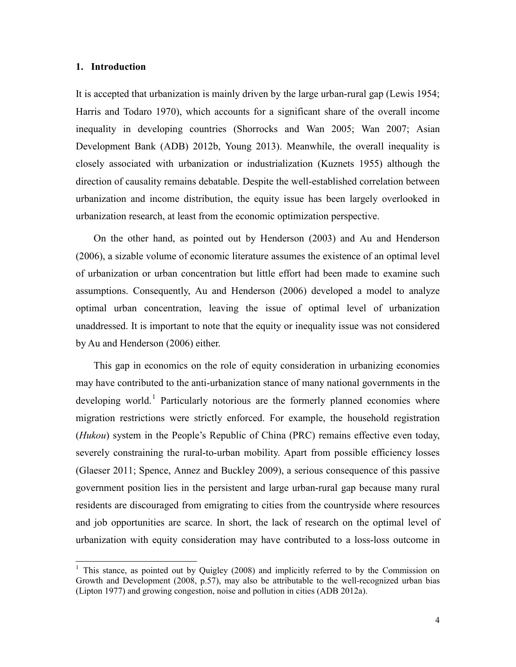#### **1. Introduction**

It is accepted that urbanization is mainly driven by the large urban-rural gap (Lewis 1954; Harris and Todaro 1970), which accounts for a significant share of the overall income inequality in developing countries (Shorrocks and Wan 2005; Wan 2007; Asian Development Bank (ADB) 2012b, Young 2013). Meanwhile, the overall inequality is closely associated with urbanization or industrialization (Kuznets 1955) although the direction of causality remains debatable. Despite the well-established correlation between urbanization and income distribution, the equity issue has been largely overlooked in urbanization research, at least from the economic optimization perspective.

On the other hand, as pointed out by Henderson (2003) and Au and Henderson (2006), a sizable volume of economic literature assumes the existence of an optimal level of urbanization or urban concentration but little effort had been made to examine such assumptions. Consequently, Au and Henderson (2006) developed a model to analyze optimal urban concentration, leaving the issue of optimal level of urbanization unaddressed. It is important to note that the equity or inequality issue was not considered by Au and Henderson (2006) either.

This gap in economics on the role of equity consideration in urbanizing economies may have contributed to the anti-urbanization stance of many national governments in the developing world.<sup>[1](#page-3-0)</sup> Particularly notorious are the formerly planned economies where migration restrictions were strictly enforced. For example, the household registration (*Hukou*) system in the People's Republic of China (PRC) remains effective even today, severely constraining the rural-to-urban mobility. Apart from possible efficiency losses (Glaeser 2011; Spence, [Annez](https://www.amazon.com/s/ref=dp_byline_sr_book_2?ie=UTF8&text=Patricia+Clarke+Annez&search-alias=books&field-author=Patricia+Clarke+Annez&sort=relevancerank) and [Buckley](https://www.amazon.com/s/ref=dp_byline_sr_book_3?ie=UTF8&text=Robert+M.+Buckley&search-alias=books&field-author=Robert+M.+Buckley&sort=relevancerank) 2009), a serious consequence of this passive government position lies in the persistent and large urban-rural gap because many rural residents are discouraged from emigrating to cities from the countryside where resources and job opportunities are scarce. In short, the lack of research on the optimal level of urbanization with equity consideration may have contributed to a loss-loss outcome in

<span id="page-3-0"></span><sup>&</sup>lt;sup>1</sup> This stance, as pointed out by Quigley (2008) and implicitly referred to by the Commission on Growth and Development (2008, p.57), may also be attributable to the well-recognized urban bias (Lipton 1977) and growing congestion, noise and pollution in cities (ADB 2012a).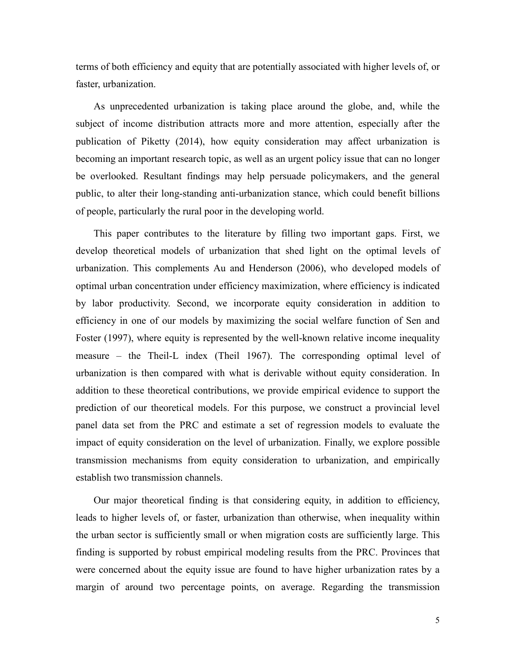terms of both efficiency and equity that are potentially associated with higher levels of, or faster, urbanization.

As unprecedented urbanization is taking place around the globe, and, while the subject of income distribution attracts more and more attention, especially after the publication of Piketty (2014), how equity consideration may affect urbanization is becoming an important research topic, as well as an urgent policy issue that can no longer be overlooked. Resultant findings may help persuade policymakers, and the general public, to alter their long-standing anti-urbanization stance, which could benefit billions of people, particularly the rural poor in the developing world.

This paper contributes to the literature by filling two important gaps. First, we develop theoretical models of urbanization that shed light on the optimal levels of urbanization. This complements Au and Henderson (2006), who developed models of optimal urban concentration under efficiency maximization, where efficiency is indicated by labor productivity. Second, we incorporate equity consideration in addition to efficiency in one of our models by maximizing the social welfare function of Sen and Foster (1997), where equity is represented by the well-known relative income inequality measure – the Theil-L index (Theil 1967). The corresponding optimal level of urbanization is then compared with what is derivable without equity consideration. In addition to these theoretical contributions, we provide empirical evidence to support the prediction of our theoretical models. For this purpose, we construct a provincial level panel data set from the PRC and estimate a set of regression models to evaluate the impact of equity consideration on the level of urbanization. Finally, we explore possible transmission mechanisms from equity consideration to urbanization, and empirically establish two transmission channels.

Our major theoretical finding is that considering equity, in addition to efficiency, leads to higher levels of, or faster, urbanization than otherwise, when inequality within the urban sector is sufficiently small or when migration costs are sufficiently large. This finding is supported by robust empirical modeling results from the PRC. Provinces that were concerned about the equity issue are found to have higher urbanization rates by a margin of around two percentage points, on average. Regarding the transmission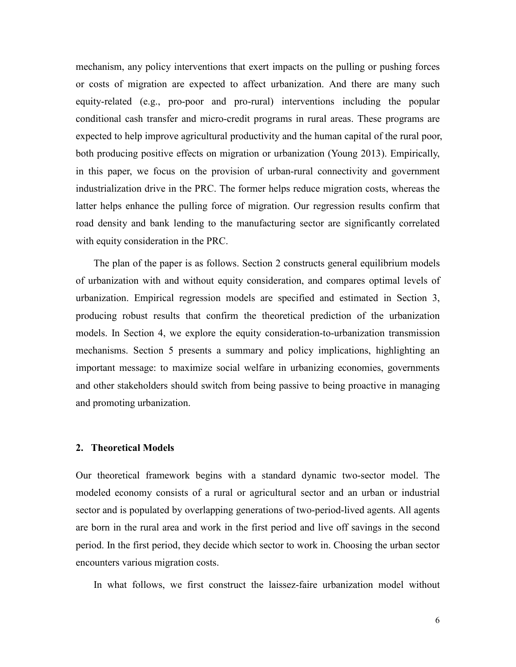mechanism, any policy interventions that exert impacts on the pulling or pushing forces or costs of migration are expected to affect urbanization. And there are many such equity-related (e.g., pro-poor and pro-rural) interventions including the popular conditional cash transfer and micro-credit programs in rural areas. These programs are expected to help improve agricultural productivity and the human capital of the rural poor, both producing positive effects on migration or urbanization (Young 2013). Empirically, in this paper, we focus on the provision of urban-rural connectivity and government industrialization drive in the PRC. The former helps reduce migration costs, whereas the latter helps enhance the pulling force of migration. Our regression results confirm that road density and bank lending to the manufacturing sector are significantly correlated with equity consideration in the PRC.

The plan of the paper is as follows. Section 2 constructs general equilibrium models of urbanization with and without equity consideration, and compares optimal levels of urbanization. Empirical regression models are specified and estimated in Section 3, producing robust results that confirm the theoretical prediction of the urbanization models. In Section 4, we explore the equity consideration-to-urbanization transmission mechanisms. Section 5 presents a summary and policy implications, highlighting an important message: to maximize social welfare in urbanizing economies, governments and other stakeholders should switch from being passive to being proactive in managing and promoting urbanization.

#### **2. Theoretical Models**

Our theoretical framework begins with a standard dynamic two-sector model. The modeled economy consists of a rural or agricultural sector and an urban or industrial sector and is populated by overlapping generations of two-period-lived agents. All agents are born in the rural area and work in the first period and live off savings in the second period. In the first period, they decide which sector to work in. Choosing the urban sector encounters various migration costs.

In what follows, we first construct the laissez-faire urbanization model without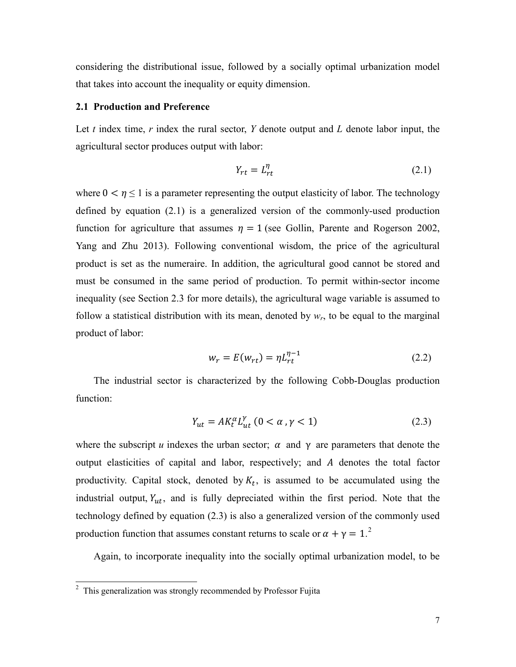considering the distributional issue, followed by a socially optimal urbanization model that takes into account the inequality or equity dimension.

#### **2.1 Production and Preference**

Let *t* index time, *r* index the rural sector, *Y* denote output and *L* denote labor input, the agricultural sector produces output with labor:

$$
Y_{rt} = L_{rt}^{\eta} \tag{2.1}
$$

where  $0 < \eta \le 1$  is a parameter representing the output elasticity of labor. The technology defined by equation (2.1) is a generalized version of the commonly-used production function for agriculture that assumes  $\eta = 1$  (see Gollin, Parente and Rogerson 2002, Yang and Zhu 2013). Following conventional wisdom, the price of the agricultural product is set as the numeraire. In addition, the agricultural good cannot be stored and must be consumed in the same period of production. To permit within-sector income inequality (see Section 2.3 for more details), the agricultural wage variable is assumed to follow a statistical distribution with its mean, denoted by  $w_r$ , to be equal to the marginal product of labor:

$$
w_r = E(w_{rt}) = \eta L_{rt}^{\eta - 1}
$$
 (2.2)

The industrial sector is characterized by the following Cobb-Douglas production function:

$$
Y_{ut} = AK_t^{\alpha}L_{ut}^{\gamma} \ (0 < \alpha \ , \gamma < 1) \tag{2.3}
$$

where the subscript *u* indexes the urban sector;  $\alpha$  and  $\gamma$  are parameters that denote the output elasticities of capital and labor, respectively; and A denotes the total factor productivity. Capital stock, denoted by  $K_t$ , is assumed to be accumulated using the industrial output,  $Y_{ut}$ , and is fully depreciated within the first period. Note that the technology defined by equation (2.3) is also a generalized version of the commonly used production function that assumes constant returns to scale or  $\alpha + \gamma = 1$ .<sup>[2](#page-6-0)</sup>

Again, to incorporate inequality into the socially optimal urbanization model, to be

<span id="page-6-0"></span><sup>2</sup> This generalization was strongly recommended by Professor Fujita  $\overline{c}$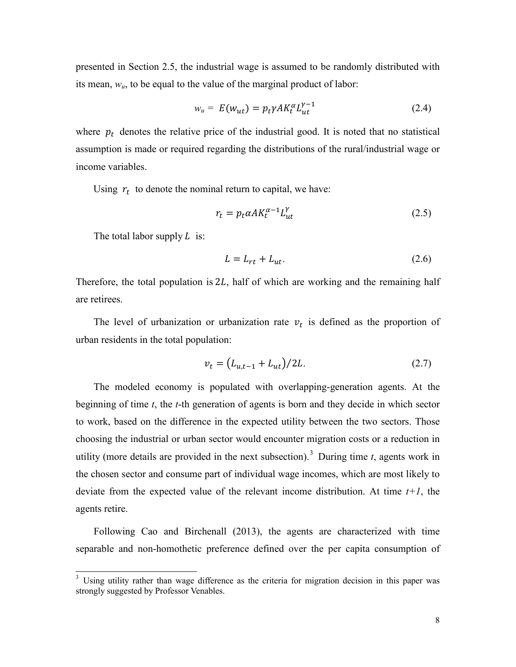presented in Section 2.5, the industrial wage is assumed to be randomly distributed with its mean, *wu*, to be equal to the value of the marginal product of labor:

$$
w_u = E(w_{ut}) = p_t \gamma A K_t^{\alpha} L_{ut}^{\gamma - 1}
$$
 (2.4)

where  $p_t$  denotes the relative price of the industrial good. It is noted that no statistical assumption is made or required regarding the distributions of the rural/industrial wage or income variables.

Using  $r_t$  to denote the nominal return to capital, we have:

$$
r_t = p_t \alpha A K_t^{\alpha - 1} L_{ut}^{\gamma} \tag{2.5}
$$

The total labor supply  $L$  is:

$$
L = L_{rt} + L_{ut}.\tag{2.6}
$$

Therefore, the total population is  $2L$ , half of which are working and the remaining half are retirees.

The level of urbanization or urbanization rate  $v_t$  is defined as the proportion of urban residents in the total population:

$$
v_t = (L_{u,t-1} + L_{ut})/2L.
$$
 (2.7)

The modeled economy is populated with overlapping-generation agents. At the beginning of time *t*, the *t*-th generation of agents is born and they decide in which sector to work, based on the difference in the expected utility between the two sectors. Those choosing the industrial or urban sector would encounter migration costs or a reduction in utility (more details are provided in the next subsection).<sup>[3](#page-7-0)</sup> During time  $t$ , agents work in the chosen sector and consume part of individual wage incomes, which are most likely to deviate from the expected value of the relevant income distribution. At time *t+1*, the agents retire.

Following Cao and Birchenall (2013), the agents are characterized with time separable and non-homothetic preference defined over the per capita consumption of

<span id="page-7-0"></span><sup>&</sup>lt;sup>3</sup> Using utility rather than wage difference as the criteria for migration decision in this paper was strongly suggested by Professor Venables.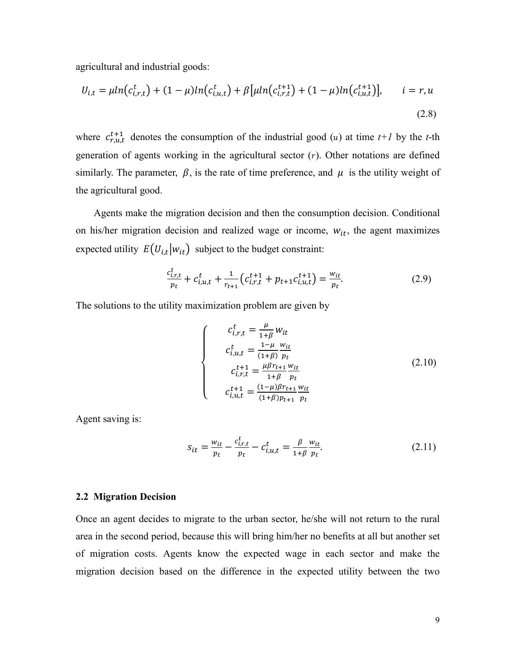agricultural and industrial goods:

$$
U_{i,t} = \mu ln(c_{i,r,t}^t) + (1 - \mu)ln(c_{i,u,t}^t) + \beta \left[\mu ln(c_{i,r,t}^{t+1}) + (1 - \mu)ln(c_{i,u,t}^{t+1})\right], \qquad i = r, u
$$
\n(2.8)

where  $c_{r,u,t}^{t+1}$  denotes the consumption of the industrial good (*u*) at time  $t+1$  by the *t*-th generation of agents working in the agricultural sector  $(r)$ . Other notations are defined similarly. The parameter,  $\beta$ , is the rate of time preference, and  $\mu$  is the utility weight of the agricultural good.

Agents make the migration decision and then the consumption decision. Conditional on his/her migration decision and realized wage or income,  $w_{it}$ , the agent maximizes expected utility  $E(U_{i,t}|w_{it})$  subject to the budget constraint:

$$
\frac{c_{i,r,t}^t}{p_t} + c_{i,u,t}^t + \frac{1}{r_{t+1}} \left( c_{i,r,t}^{t+1} + p_{t+1} c_{i,u,t}^{t+1} \right) = \frac{w_{it}}{p_t}.
$$
\n(2.9)

The solutions to the utility maximization problem are given by

$$
\begin{cases}\n c_{i,r,t}^t = \frac{\mu}{1+\beta} w_{it} \\
c_{i,u,t}^t = \frac{1-\mu}{(1+\beta)} \frac{w_{it}}{p_t} \\
c_{i,r,t}^{t+1} = \frac{\mu \beta r_{t+1}}{1+\beta} \frac{w_{it}}{p_t} \\
c_{i,u,t}^{t+1} = \frac{(1-\mu)\beta r_{t+1}}{(1+\beta)p_{t+1}} \frac{w_{it}}{p_t}\n\end{cases}
$$
\n(2.10)

Agent saving is:

$$
s_{it} = \frac{w_{it}}{p_t} - \frac{c_{i,r,t}^t}{p_t} - c_{i,u,t}^t = \frac{\beta}{1+\beta} \frac{w_{it}}{p_t}.
$$
 (2.11)

#### **2.2 Migration Decision**

Once an agent decides to migrate to the urban sector, he/she will not return to the rural area in the second period, because this will bring him/her no benefits at all but another set of migration costs. Agents know the expected wage in each sector and make the migration decision based on the difference in the expected utility between the two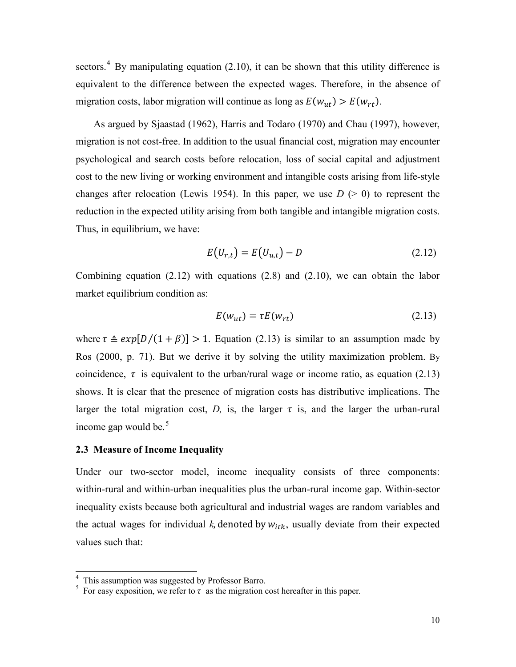sectors.<sup>[4](#page-9-0)</sup> By manipulating equation (2.10), it can be shown that this utility difference is equivalent to the difference between the expected wages. Therefore, in the absence of migration costs, labor migration will continue as long as  $E(w_{ut}) > E(w_{rt}).$ 

As argued by Sjaastad (1962), Harris and Todaro (1970) and Chau (1997), however, migration is not cost-free. In addition to the usual financial cost, migration may encounter psychological and search costs before relocation, loss of social capital and adjustment cost to the new living or working environment and intangible costs arising from life-style changes after relocation (Lewis 1954). In this paper, we use  $D$  ( $> 0$ ) to represent the reduction in the expected utility arising from both tangible and intangible migration costs. Thus, in equilibrium, we have:

$$
E(U_{r,t}) = E(U_{u,t}) - D \tag{2.12}
$$

Combining equation (2.12) with equations (2.8) and (2.10), we can obtain the labor market equilibrium condition as:

$$
E(w_{ut}) = \tau E(w_{rt})
$$
\n(2.13)

where  $\tau \triangleq exp[D/(1 + \beta)] > 1$ . Equation (2.13) is similar to an assumption made by Ros (2000, p. 71). But we derive it by solving the utility maximization problem. By coincidence,  $\tau$  is equivalent to the urban/rural wage or income ratio, as equation (2.13) shows. It is clear that the presence of migration costs has distributive implications. The larger the total migration cost,  $D$ , is, the larger  $\tau$  is, and the larger the urban-rural income gap would be. $5$ 

#### **2.3 Measure of Income Inequality**

Under our two-sector model, income inequality consists of three components: within-rural and within-urban inequalities plus the urban-rural income gap. Within-sector inequality exists because both agricultural and industrial wages are random variables and the actual wages for individual  $k$ , denoted by  $w_{itk}$ , usually deviate from their expected values such that:

<span id="page-9-0"></span><sup>&</sup>lt;sup>4</sup> This assumption was suggested by Professor Barro.  $\overline{a}$ 

<span id="page-9-1"></span><sup>&</sup>lt;sup>5</sup> For easy exposition, we refer to  $\tau$  as the migration cost hereafter in this paper.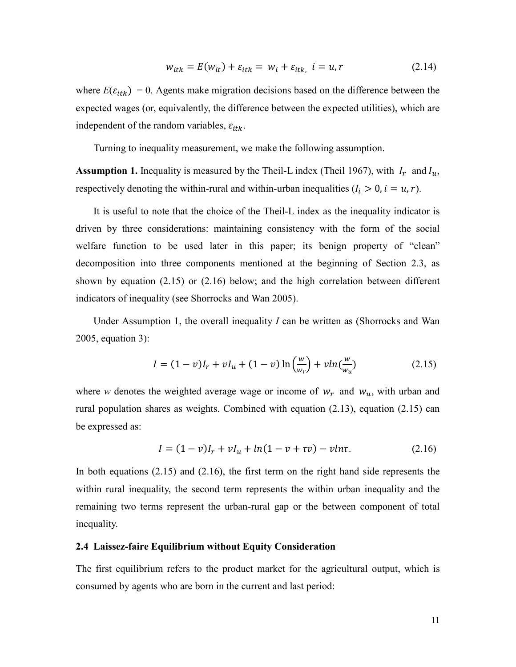$$
w_{itk} = E(w_{it}) + \varepsilon_{itk} = w_i + \varepsilon_{itk}, \quad i = u, r \tag{2.14}
$$

where  $E(\varepsilon_{itk}) = 0$ . Agents make migration decisions based on the difference between the expected wages (or, equivalently, the difference between the expected utilities), which are independent of the random variables,  $\varepsilon_{itk}$ .

Turning to inequality measurement, we make the following assumption.

**Assumption 1.** Inequality is measured by the Theil-L index (Theil 1967), with  $I_r$  and  $I_u$ , respectively denoting the within-rural and within-urban inequalities  $(I_i > 0, i = u, r)$ .

It is useful to note that the choice of the Theil-L index as the inequality indicator is driven by three considerations: maintaining consistency with the form of the social welfare function to be used later in this paper; its benign property of "clean" decomposition into three components mentioned at the beginning of Section 2.3, as shown by equation (2.15) or (2.16) below; and the high correlation between different indicators of inequality (see Shorrocks and Wan 2005).

Under Assumption 1, the overall inequality *I* can be written as (Shorrocks and Wan 2005, equation 3):

$$
I = (1 - v)I_r + vI_u + (1 - v)\ln\left(\frac{w}{w_r}\right) + v\ln\left(\frac{w}{w_u}\right) \tag{2.15}
$$

where *w* denotes the weighted average wage or income of  $w_r$  and  $w_u$ , with urban and rural population shares as weights. Combined with equation (2.13), equation (2.15) can be expressed as:

$$
I = (1 - v)I_r + vI_u + ln(1 - v + \tau v) - vln\tau.
$$
 (2.16)

In both equations (2.15) and (2.16), the first term on the right hand side represents the within rural inequality, the second term represents the within urban inequality and the remaining two terms represent the urban-rural gap or the between component of total inequality.

#### **2.4 Laissez-faire Equilibrium without Equity Consideration**

The first equilibrium refers to the product market for the agricultural output, which is consumed by agents who are born in the current and last period: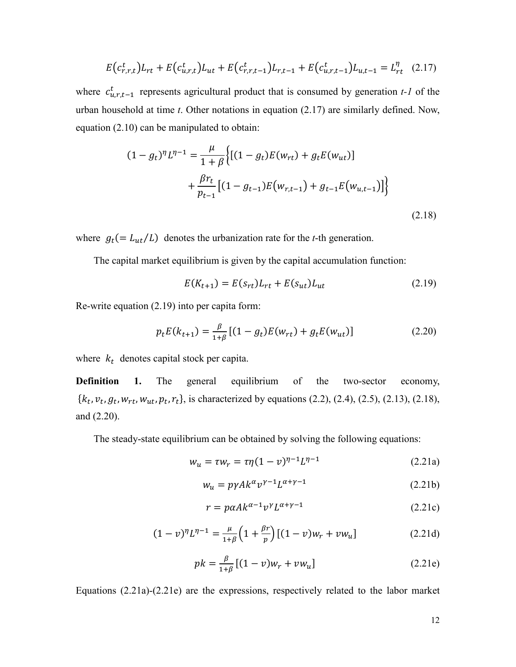$$
E(c_{r,r,t}^t)L_{rt} + E(c_{u,r,t}^t)L_{ut} + E(c_{r,r,t-1}^t)L_{r,t-1} + E(c_{u,r,t-1}^t)L_{u,t-1} = L_{rt}^{\eta} \quad (2.17)
$$

where  $c_{u,r,t-1}^{t}$  represents agricultural product that is consumed by generation *t-1* of the urban household at time *t*. Other notations in equation (2.17) are similarly defined. Now, equation (2.10) can be manipulated to obtain:

$$
(1 - g_t)^{\eta} L^{\eta - 1} = \frac{\mu}{1 + \beta} \Big\{ [(1 - g_t)E(w_{rt}) + g_t E(w_{ut})] + \frac{\beta r_t}{p_{t-1}} [(1 - g_{t-1})E(w_{r,t-1}) + g_{t-1} E(w_{u,t-1})] \Big\}
$$
\n(2.18)

where  $g_t (= L_{ut}/L)$  denotes the urbanization rate for the *t*-th generation.

The capital market equilibrium is given by the capital accumulation function:

$$
E(K_{t+1}) = E(s_{rt})L_{rt} + E(s_{ut})L_{ut}
$$
\n(2.19)

Re-write equation (2.19) into per capita form:

$$
p_t E(k_{t+1}) = \frac{\beta}{1+\beta} [(1 - g_t) E(w_{rt}) + g_t E(w_{ut})]
$$
 (2.20)

where  $k_t$  denotes capital stock per capita.

**Definition 1.** The general equilibrium of the two-sector economy,  ${k_t, v_t, g_t, w_{rt}, w_{ut}, p_t, r_t}$ , is characterized by equations (2.2), (2.4), (2.5), (2.13), (2.18), and (2.20).

The steady-state equilibrium can be obtained by solving the following equations:

$$
w_u = \tau w_r = \tau \eta (1 - v)^{\eta - 1} L^{\eta - 1}
$$
 (2.21a)

$$
w_u = p\gamma A k^{\alpha} v^{\gamma - 1} L^{\alpha + \gamma - 1}
$$
 (2.21b)

$$
r = p\alpha A k^{\alpha - 1} v^{\gamma} L^{\alpha + \gamma - 1}
$$
 (2.21c)

$$
(1 - v)^{\eta} L^{\eta - 1} = \frac{\mu}{1 + \beta} \left( 1 + \frac{\beta r}{p} \right) \left[ (1 - v) w_r + v w_u \right] \tag{2.21d}
$$

$$
pk = \frac{\beta}{1+\beta} [(1-v)w_r + vw_u]
$$
 (2.21e)

Equations (2.21a)-(2.21e) are the expressions, respectively related to the labor market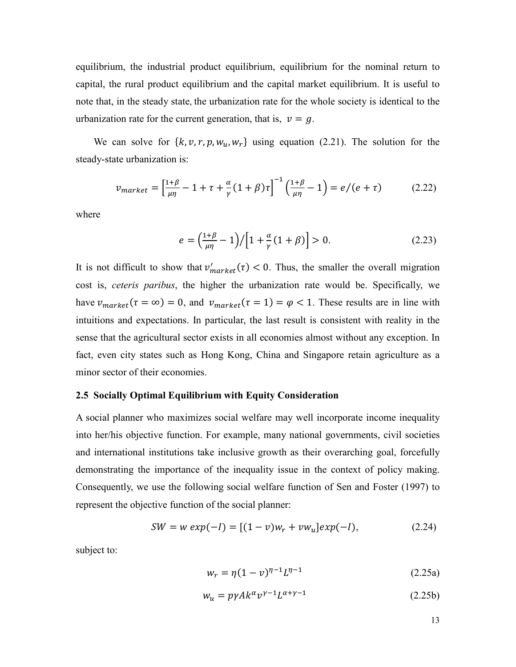equilibrium, the industrial product equilibrium, equilibrium for the nominal return to capital, the rural product equilibrium and the capital market equilibrium. It is useful to note that, in the steady state, the urbanization rate for the whole society is identical to the urbanization rate for the current generation, that is,  $v = g$ .

We can solve for  $\{k, v, r, p, w_u, w_r\}$  using equation (2.21). The solution for the steady-state urbanization is:

$$
v_{market} = \left[\frac{1+\beta}{\mu\eta} - 1 + \tau + \frac{\alpha}{\gamma} (1+\beta)\tau\right]^{-1} \left(\frac{1+\beta}{\mu\eta} - 1\right) = e/(e+\tau) \tag{2.22}
$$

where

$$
e = \left(\frac{1+\beta}{\mu\eta} - 1\right) / \left[1 + \frac{\alpha}{\gamma} (1+\beta)\right] > 0. \tag{2.23}
$$

It is not difficult to show that  $v'_{market}(\tau) < 0$ . Thus, the smaller the overall migration cost is, *ceteris paribus*, the higher the urbanization rate would be. Specifically, we have  $v_{market}(\tau = \infty) = 0$ , and  $v_{market}(\tau = 1) = \varphi < 1$ . These results are in line with intuitions and expectations. In particular, the last result is consistent with reality in the sense that the agricultural sector exists in all economies almost without any exception. In fact, even city states such as Hong Kong, China and Singapore retain agriculture as a minor sector of their economies.

#### **2.5 Socially Optimal Equilibrium with Equity Consideration**

A social planner who maximizes social welfare may well incorporate income inequality into her/his objective function. For example, many national governments, civil societies and international institutions take inclusive growth as their overarching goal, forcefully demonstrating the importance of the inequality issue in the context of policy making. Consequently, we use the following social welfare function of Sen and Foster (1997) to represent the objective function of the social planner:

$$
SW = w \exp(-I) = [(1 - v)w_r + vw_u]exp(-I), \qquad (2.24)
$$

subject to:

$$
w_r = \eta (1 - v)^{\eta - 1} L^{\eta - 1}
$$
 (2.25a)

$$
w_u = p\gamma A k^{\alpha} v^{\gamma - 1} L^{\alpha + \gamma - 1}
$$
 (2.25b)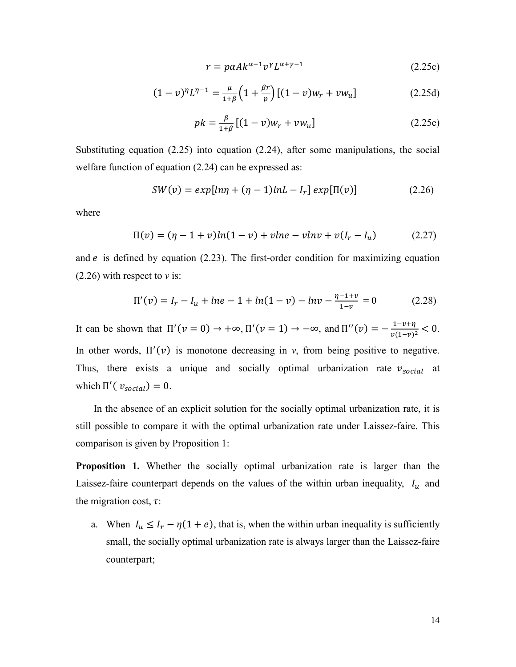$$
r = p\alpha A k^{\alpha - 1} v^{\gamma} L^{\alpha + \gamma - 1}
$$
 (2.25c)

$$
(1 - v)^{\eta} L^{\eta - 1} = \frac{\mu}{1 + \beta} \left( 1 + \frac{\beta r}{p} \right) \left[ (1 - v) w_r + v w_u \right] \tag{2.25d}
$$

$$
pk = \frac{\beta}{1+\beta} [(1-v)w_r + vw_u]
$$
 (2.25e)

Substituting equation (2.25) into equation (2.24), after some manipulations, the social welfare function of equation (2.24) can be expressed as:

$$
SW(v) = exp[ln\eta + (\eta - 1)lnL - I_r] exp[\Pi(v)] \qquad (2.26)
$$

where

$$
\Pi(v) = (\eta - 1 + v) \ln(1 - v) + v \ln v - v \ln v + v(I_r - I_u)
$$
 (2.27)

and  $e$  is defined by equation (2.23). The first-order condition for maximizing equation (2.26) with respect to *v* is:

$$
\Pi'(v) = I_r - I_u + \ln e - 1 + \ln(1 - v) - \ln v - \frac{\eta - 1 + v}{1 - v} = 0 \tag{2.28}
$$

It can be shown that  $\Pi'(v=0) \to +\infty$ ,  $\Pi'(v=1) \to -\infty$ , and  $\Pi''(v) = -\frac{1-v+\eta}{v(1-v)^2} < 0$ . In other words,  $\Pi'(v)$  is monotone decreasing in *v*, from being positive to negative. Thus, there exists a unique and socially optimal urbanization rate  $v_{social}$  at which  $\Pi'(\nu_{social}) = 0$ .

In the absence of an explicit solution for the socially optimal urbanization rate, it is still possible to compare it with the optimal urbanization rate under Laissez-faire. This comparison is given by Proposition 1:

**Proposition 1.** Whether the socially optimal urbanization rate is larger than the Laissez-faire counterpart depends on the values of the within urban inequality,  $I_u$  and the migration cost,  $\tau$ :

a. When  $I_u \leq I_r - \eta(1 + e)$ , that is, when the within urban inequality is sufficiently small, the socially optimal urbanization rate is always larger than the Laissez-faire counterpart;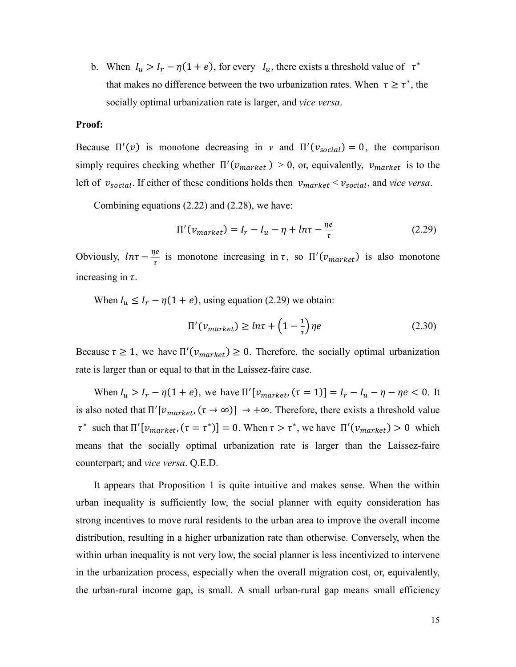b. When  $I_u > I_r - \eta(1 + e)$ , for every  $I_u$ , there exists a threshold value of  $\tau^*$ that makes no difference between the two urbanization rates. When  $\tau \geq \tau^*$ , the socially optimal urbanization rate is larger, and *vice versa*.

#### **Proof:**

Because  $\Pi'(v)$  is monotone decreasing in *v* and  $\Pi'(v_{social}) = 0$ , the comparison simply requires checking whether  $\Pi'(v_{market}) > 0$ , or, equivalently,  $v_{market}$  is to the left of  $v_{social}$ . If either of these conditions holds then  $v_{market} < v_{social}$ , and *vice versa*.

Combining equations (2.22) and (2.28), we have:

$$
\Pi'(v_{market}) = I_r - I_u - \eta + ln\tau - \frac{\eta e}{\tau}
$$
\n(2.29)

Obviously,  $ln\tau - \frac{\eta e}{\tau}$  is monotone increasing in  $\tau$ , so  $\Pi'(v_{market})$  is also monotone increasing in  $\tau$ .

When  $I_u \leq I_r - \eta(1 + e)$ , using equation (2.29) we obtain:

$$
\Pi'(v_{market}) \geq ln\tau + \left(1 - \frac{1}{\tau}\right)\eta e \tag{2.30}
$$

Because  $\tau \geq 1$ , we have  $\Pi'(v_{market}) \geq 0$ . Therefore, the socially optimal urbanization rate is larger than or equal to that in the Laissez-faire case.

When  $I_u > I_r - \eta(1 + e)$ , we have  $\Pi' [v_{market}, (\tau = 1)] = I_r - I_u - \eta - \eta e < 0$ . It is also noted that  $\Pi' [v_{market}, (\tau \to \infty)] \to +\infty$ . Therefore, there exists a threshold value  $\tau^*$  such that  $\Pi' [v_{market}, (\tau = \tau^*)] = 0$ . When  $\tau > \tau^*$ , we have  $\Pi' (v_{market}) > 0$  which means that the socially optimal urbanization rate is larger than the Laissez-faire counterpart; and *vice versa*. Q.E.D.

It appears that Proposition 1 is quite intuitive and makes sense. When the within urban inequality is sufficiently low, the social planner with equity consideration has strong incentives to move rural residents to the urban area to improve the overall income distribution, resulting in a higher urbanization rate than otherwise. Conversely, when the within urban inequality is not very low, the social planner is less incentivized to intervene in the urbanization process, especially when the overall migration cost, or, equivalently, the urban-rural income gap, is small. A small urban-rural gap means small efficiency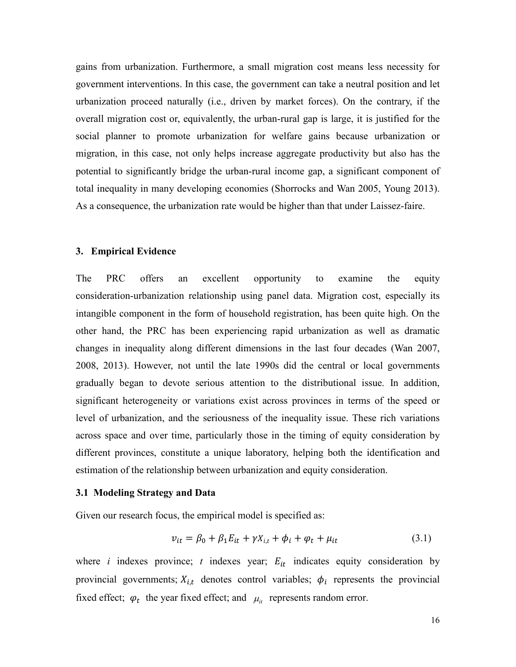gains from urbanization. Furthermore, a small migration cost means less necessity for government interventions. In this case, the government can take a neutral position and let urbanization proceed naturally (i.e., driven by market forces). On the contrary, if the overall migration cost or, equivalently, the urban-rural gap is large, it is justified for the social planner to promote urbanization for welfare gains because urbanization or migration, in this case, not only helps increase aggregate productivity but also has the potential to significantly bridge the urban-rural income gap, a significant component of total inequality in many developing economies (Shorrocks and Wan 2005, Young 2013). As a consequence, the urbanization rate would be higher than that under Laissez-faire.

#### **3. Empirical Evidence**

The PRC offers an excellent opportunity to examine the equity consideration-urbanization relationship using panel data. Migration cost, especially its intangible component in the form of household registration, has been quite high. On the other hand, the PRC has been experiencing rapid urbanization as well as dramatic changes in inequality along different dimensions in the last four decades (Wan 2007, 2008, 2013). However, not until the late 1990s did the central or local governments gradually began to devote serious attention to the distributional issue. In addition, significant heterogeneity or variations exist across provinces in terms of the speed or level of urbanization, and the seriousness of the inequality issue. These rich variations across space and over time, particularly those in the timing of equity consideration by different provinces, constitute a unique laboratory, helping both the identification and estimation of the relationship between urbanization and equity consideration.

#### **3.1 Modeling Strategy and Data**

Given our research focus, the empirical model is specified as:

$$
v_{it} = \beta_0 + \beta_1 E_{it} + \gamma X_{i,t} + \phi_i + \varphi_t + \mu_{it}
$$
\n(3.1)

where *i* indexes province; *t* indexes year;  $E_{it}$  indicates equity consideration by provincial governments;  $X_{i,t}$  denotes control variables;  $\phi_i$  represents the provincial fixed effect;  $\varphi_t$  the year fixed effect; and  $\mu_t$  represents random error.

16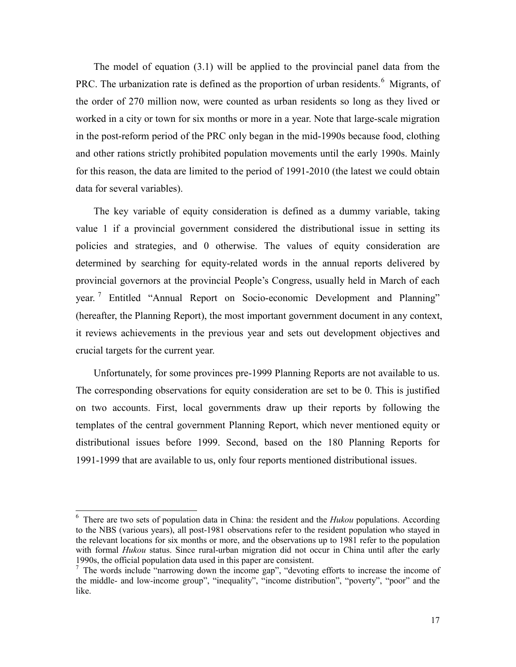The model of equation (3.1) will be applied to the provincial panel data from the PRC. The urbanization rate is defined as the proportion of urban residents.<sup>[6](#page-16-0)</sup> Migrants, of the order of 270 million now, were counted as urban residents so long as they lived or worked in a city or town for six months or more in a year. Note that large-scale migration in the post-reform period of the PRC only began in the mid-1990s because food, clothing and other rations strictly prohibited population movements until the early 1990s. Mainly for this reason, the data are limited to the period of 1991-2010 (the latest we could obtain data for several variables).

The key variable of equity consideration is defined as a dummy variable, taking value 1 if a provincial government considered the distributional issue in setting its policies and strategies, and 0 otherwise. The values of equity consideration are determined by searching for equity-related words in the annual reports delivered by provincial governors at the provincial People's Congress, usually held in March of each year.<sup>[7](#page-16-1)</sup> Entitled "Annual Report on Socio-economic Development and Planning" (hereafter, the Planning Report), the most important government document in any context, it reviews achievements in the previous year and sets out development objectives and crucial targets for the current year.

Unfortunately, for some provinces pre-1999 Planning Reports are not available to us. The corresponding observations for equity consideration are set to be 0. This is justified on two accounts. First, local governments draw up their reports by following the templates of the central government Planning Report, which never mentioned equity or distributional issues before 1999. Second, based on the 180 Planning Reports for 1991-1999 that are available to us, only four reports mentioned distributional issues.

<span id="page-16-0"></span><sup>6</sup> There are two sets of population data in China: the resident and the *Hukou* populations. According to the NBS (various years), all post-1981 observations refer to the resident population who stayed in the relevant locations for six months or more, and the observations up to 1981 refer to the population with formal *Hukou* status. Since rural-urban migration did not occur in China until after the early 1990s, the official population data used in this paper are consistent.

<span id="page-16-1"></span><sup>&</sup>lt;sup>7</sup> The words include "narrowing down the income gap", "devoting efforts to increase the income of the middle- and low-income group", "inequality", "income distribution", "poverty", "poor" and the like.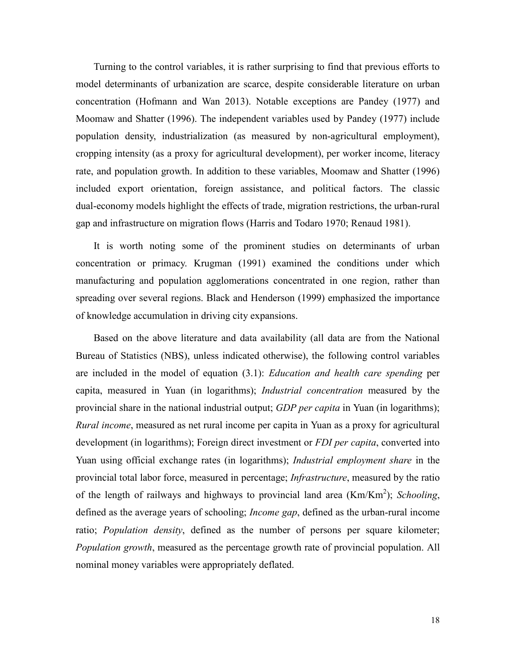Turning to the control variables, it is rather surprising to find that previous efforts to model determinants of urbanization are scarce, despite considerable literature on urban concentration (Hofmann and Wan 2013). Notable exceptions are Pandey (1977) and Moomaw and Shatter (1996). The independent variables used by Pandey (1977) include population density, industrialization (as measured by non-agricultural employment), cropping intensity (as a proxy for agricultural development), per worker income, literacy rate, and population growth. In addition to these variables, Moomaw and Shatter (1996) included export orientation, foreign assistance, and political factors. The classic dual-economy models highlight the effects of trade, migration restrictions, the urban-rural gap and infrastructure on migration flows (Harris and Todaro 1970; Renaud 1981).

It is worth noting some of the prominent studies on determinants of urban concentration or primacy. Krugman (1991) examined the conditions under which manufacturing and population agglomerations concentrated in one region, rather than spreading over several regions. Black and Henderson (1999) emphasized the importance of knowledge accumulation in driving city expansions.

Based on the above literature and data availability (all data are from the National Bureau of Statistics (NBS), unless indicated otherwise), the following control variables are included in the model of equation (3.1): *Education and health care spending* per capita, measured in Yuan (in logarithms); *Industrial concentration* measured by the provincial share in the national industrial output; *GDP per capita* in Yuan (in logarithms); *Rural income*, measured as net rural income per capita in Yuan as a proxy for agricultural development (in logarithms); Foreign direct investment or *FDI per capita*, converted into Yuan using official exchange rates (in logarithms); *Industrial employment share* in the provincial total labor force, measured in percentage; *Infrastructure*, measured by the ratio of the length of railways and highways to provincial land area (Km/Km<sup>2</sup>); *Schooling*, defined as the average years of schooling; *Income gap*, defined as the urban-rural income ratio; *Population density*, defined as the number of persons per square kilometer; *Population growth*, measured as the percentage growth rate of provincial population. All nominal money variables were appropriately deflated.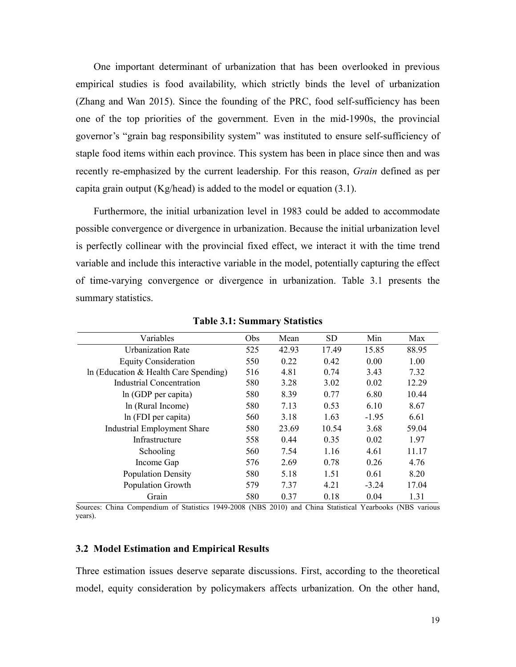One important determinant of urbanization that has been overlooked in previous empirical studies is food availability, which strictly binds the level of urbanization (Zhang and Wan 2015). Since the founding of the PRC, food self-sufficiency has been one of the top priorities of the government. Even in the mid-1990s, the provincial governor's "grain bag responsibility system" was instituted to ensure self-sufficiency of staple food items within each province. This system has been in place since then and was recently re-emphasized by the current leadership. For this reason, *Grain* defined as per capita grain output (Kg/head) is added to the model or equation  $(3.1)$ .

Furthermore, the initial urbanization level in 1983 could be added to accommodate possible convergence or divergence in urbanization. Because the initial urbanization level is perfectly collinear with the provincial fixed effect, we interact it with the time trend variable and include this interactive variable in the model, potentially capturing the effect of time-varying convergence or divergence in urbanization. Table 3.1 presents the summary statistics.

| Variables                             | Obs | Mean  | <b>SD</b> | Min     | Max   |
|---------------------------------------|-----|-------|-----------|---------|-------|
| <b>Urbanization Rate</b>              | 525 | 42.93 | 17.49     | 15.85   | 88.95 |
| <b>Equity Consideration</b>           | 550 | 0.22  | 0.42      | 0.00    | 1.00  |
| In (Education & Health Care Spending) | 516 | 4.81  | 0.74      | 3.43    | 7.32  |
| Industrial Concentration              | 580 | 3.28  | 3.02      | 0.02    | 12.29 |
| In (GDP per capita)                   | 580 | 8.39  | 0.77      | 6.80    | 10.44 |
| In (Rural Income)                     | 580 | 7.13  | 0.53      | 6.10    | 8.67  |
| ln (FDI per capita)                   | 560 | 3.18  | 1.63      | $-1.95$ | 6.61  |
| <b>Industrial Employment Share</b>    | 580 | 23.69 | 10.54     | 3.68    | 59.04 |
| Infrastructure                        | 558 | 0.44  | 0.35      | 0.02    | 1.97  |
| Schooling                             | 560 | 7.54  | 1.16      | 4.61    | 11.17 |
| Income Gap                            | 576 | 2.69  | 0.78      | 0.26    | 4.76  |
| <b>Population Density</b>             | 580 | 5.18  | 1.51      | 0.61    | 8.20  |
| Population Growth                     | 579 | 7.37  | 4.21      | $-3.24$ | 17.04 |
| Grain                                 | 580 | 0.37  | 0.18      | 0.04    | 1.31  |

**Table 3.1: Summary Statistics**

Sources: China Compendium of Statistics 1949-2008 (NBS 2010) and China Statistical Yearbooks (NBS various years).

#### **3.2 Model Estimation and Empirical Results**

Three estimation issues deserve separate discussions. First, according to the theoretical model, equity consideration by policymakers affects urbanization. On the other hand,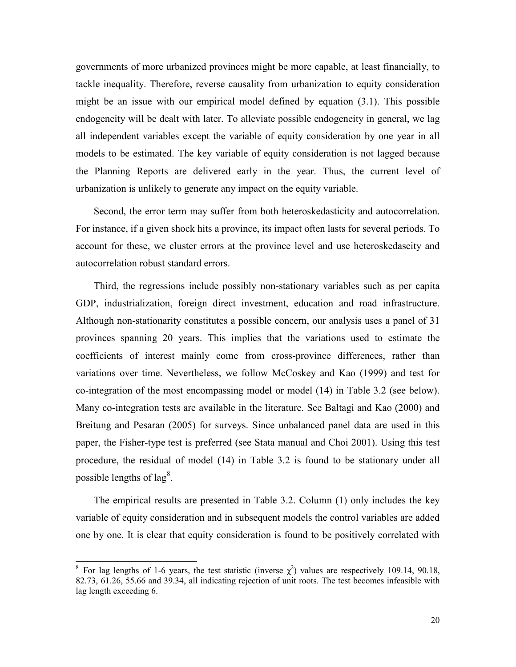governments of more urbanized provinces might be more capable, at least financially, to tackle inequality. Therefore, reverse causality from urbanization to equity consideration might be an issue with our empirical model defined by equation (3.1). This possible endogeneity will be dealt with later. To alleviate possible endogeneity in general, we lag all independent variables except the variable of equity consideration by one year in all models to be estimated. The key variable of equity consideration is not lagged because the Planning Reports are delivered early in the year. Thus, the current level of urbanization is unlikely to generate any impact on the equity variable.

Second, the error term may suffer from both heteroskedasticity and autocorrelation. For instance, if a given shock hits a province, its impact often lasts for several periods. To account for these, we cluster errors at the province level and use heteroskedascity and autocorrelation robust standard errors.

Third, the regressions include possibly non-stationary variables such as per capita GDP, industrialization, foreign direct investment, education and road infrastructure. Although non-stationarity constitutes a possible concern, our analysis uses a panel of 31 provinces spanning 20 years. This implies that the variations used to estimate the coefficients of interest mainly come from cross-province differences, rather than variations over time. Nevertheless, we follow McCoskey and Kao (1999) and test for co-integration of the most encompassing model or model (14) in Table 3.2 (see below). Many co-integration tests are available in the literature. See Baltagi and Kao (2000) and Breitung and Pesaran (2005) for surveys. Since unbalanced panel data are used in this paper, the Fisher-type test is preferred (see Stata manual and Choi 2001). Using this test procedure, the residual of model (14) in Table 3.2 is found to be stationary under all possible lengths of lag<sup>[8](#page-19-0)</sup>.

The empirical results are presented in Table 3.2. Column (1) only includes the key variable of equity consideration and in subsequent models the control variables are added one by one. It is clear that equity consideration is found to be positively correlated with

<span id="page-19-0"></span><sup>&</sup>lt;sup>8</sup> For lag lengths of 1-6 years, the test statistic (inverse  $\chi^2$ ) values are respectively 109.14, 90.18, 82.73, 61.26, 55.66 and 39.34, all indicating rejection of unit roots. The test becomes infeasible with lag length exceeding 6.  $\frac{1}{c}$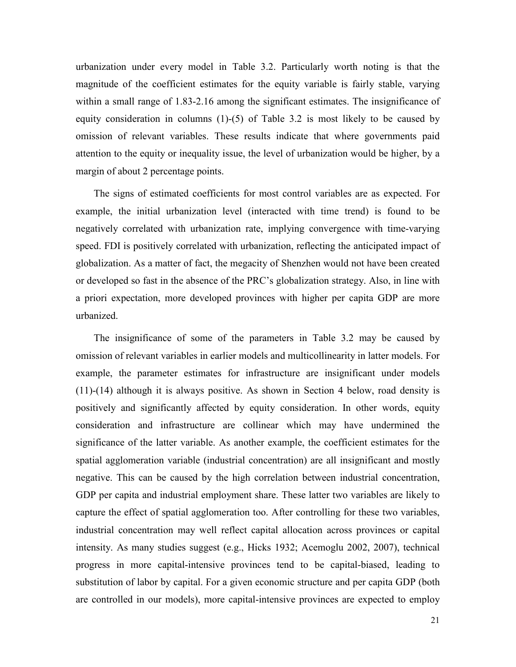urbanization under every model in Table 3.2. Particularly worth noting is that the magnitude of the coefficient estimates for the equity variable is fairly stable, varying within a small range of 1.83-2.16 among the significant estimates. The insignificance of equity consideration in columns  $(1)-(5)$  of Table 3.2 is most likely to be caused by omission of relevant variables. These results indicate that where governments paid attention to the equity or inequality issue, the level of urbanization would be higher, by a margin of about 2 percentage points.

The signs of estimated coefficients for most control variables are as expected. For example, the initial urbanization level (interacted with time trend) is found to be negatively correlated with urbanization rate, implying convergence with time-varying speed. FDI is positively correlated with urbanization, reflecting the anticipated impact of globalization. As a matter of fact, the megacity of Shenzhen would not have been created or developed so fast in the absence of the PRC's globalization strategy. Also, in line with a priori expectation, more developed provinces with higher per capita GDP are more urbanized.

The insignificance of some of the parameters in Table 3.2 may be caused by omission of relevant variables in earlier models and multicollinearity in latter models. For example, the parameter estimates for infrastructure are insignificant under models (11)-(14) although it is always positive. As shown in Section 4 below, road density is positively and significantly affected by equity consideration. In other words, equity consideration and infrastructure are collinear which may have undermined the significance of the latter variable. As another example, the coefficient estimates for the spatial agglomeration variable (industrial concentration) are all insignificant and mostly negative. This can be caused by the high correlation between industrial concentration, GDP per capita and industrial employment share. These latter two variables are likely to capture the effect of spatial agglomeration too. After controlling for these two variables, industrial concentration may well reflect capital allocation across provinces or capital intensity. As many studies suggest (e.g., Hicks 1932; Acemoglu 2002, 2007), technical progress in more capital-intensive provinces tend to be capital-biased, leading to substitution of labor by capital. For a given economic structure and per capita GDP (both are controlled in our models), more capital-intensive provinces are expected to employ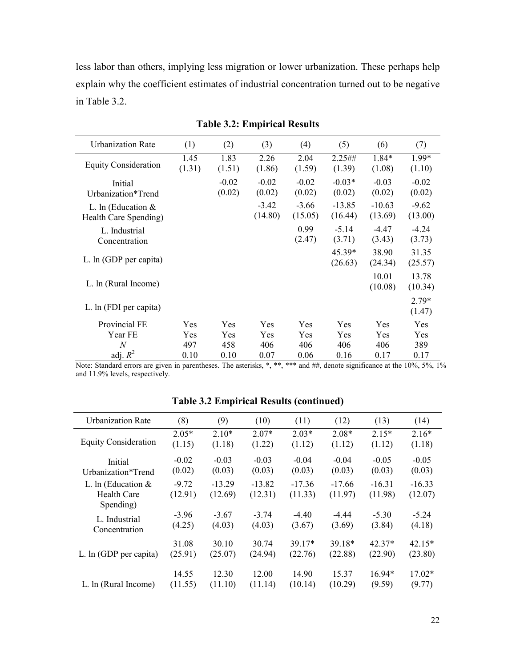less labor than others, implying less migration or lower urbanization. These perhaps help explain why the coefficient estimates of industrial concentration turned out to be negative in Table 3.2.

| <b>Urbanization Rate</b>                      | (1)            | (2)               | (3)                | (4)                | (5)                 | (6)                 | (7)                |
|-----------------------------------------------|----------------|-------------------|--------------------|--------------------|---------------------|---------------------|--------------------|
| <b>Equity Consideration</b>                   | 1.45<br>(1.31) | 1.83<br>(1.51)    | 2.26<br>(1.86)     | 2.04<br>(1.59)     | 2.25##<br>(1.39)    | 1.84*<br>(1.08)     | 1.99*<br>(1.10)    |
| Initial<br>Urbanization*Trend                 |                | $-0.02$<br>(0.02) | $-0.02$<br>(0.02)  | $-0.02$<br>(0.02)  | $-0.03*$<br>(0.02)  | $-0.03$<br>(0.02)   | $-0.02$<br>(0.02)  |
| L. In (Education $&$<br>Health Care Spending) |                |                   | $-3.42$<br>(14.80) | $-3.66$<br>(15.05) | $-13.85$<br>(16.44) | $-10.63$<br>(13.69) | $-9.62$<br>(13.00) |
| L. Industrial<br>Concentration                |                |                   |                    | 0.99<br>(2.47)     | $-5.14$<br>(3.71)   | $-4.47$<br>(3.43)   | $-4.24$<br>(3.73)  |
| L. ln (GDP per capita)                        |                |                   |                    |                    | 45.39*<br>(26.63)   | 38.90<br>(24.34)    | 31.35<br>(25.57)   |
| L. In (Rural Income)                          |                |                   |                    |                    |                     | 10.01<br>(10.08)    | 13.78<br>(10.34)   |
| L. ln (FDI per capita)                        |                |                   |                    |                    |                     |                     | $2.79*$<br>(1.47)  |
| Provincial FE                                 | Yes            | Yes               | Yes                | Yes                | Yes                 | Yes                 | Yes                |
| Year FE                                       | Yes            | Yes               | Yes                | Yes                | Yes                 | Yes                 | Yes                |
| $\overline{N}$                                | 497            | 458               | 406                | 406                | 406                 | 406                 | 389                |
| adj. $R^2$                                    | 0.10           | 0.10              | 0.07               | 0.06               | 0.16                | 0.17                | 0.17               |

**Table 3.2: Empirical Results**

Note: Standard errors are given in parentheses. The asterisks, \*, \*\*, \*\*\* and ##, denote significance at the 10%, 5%, 1% and 11.9% levels, respectively.

| Urbanization Rate           | (8)     | (9)      | (10)     | (11)     | (12)     | (13)     | (14)     |
|-----------------------------|---------|----------|----------|----------|----------|----------|----------|
|                             | $2.05*$ | $2.10*$  | $2.07*$  | $2.03*$  | $2.08*$  | $2.15*$  | $2.16*$  |
| <b>Equity Consideration</b> | (1.15)  | (1.18)   | (1.22)   | (1.12)   | (1.12)   | (1.12)   | (1.18)   |
| Initial                     | $-0.02$ | $-0.03$  | $-0.03$  | $-0.04$  | $-0.04$  | $-0.05$  | $-0.05$  |
| Urbanization*Trend          | (0.02)  | (0.03)   | (0.03)   | (0.03)   | (0.03)   | (0.03)   | (0.03)   |
| L. In (Education $&$        | $-9.72$ | $-13.29$ | $-13.82$ | $-17.36$ | $-17.66$ | $-16.31$ | $-16.33$ |
| Health Care                 | (12.91) | (12.69)  | (12.31)  | (11.33)  | (11.97)  | (11.98)  | (12.07)  |
| Spending)                   |         |          |          |          |          |          |          |
| L. Industrial               | $-3.96$ | $-3.67$  | $-3.74$  | $-4.40$  | $-4.44$  | $-5.30$  | $-5.24$  |
| Concentration               | (4.25)  | (4.03)   | (4.03)   | (3.67)   | (3.69)   | (3.84)   | (4.18)   |
|                             | 31.08   | 30.10    | 30.74    | $39.17*$ | 39.18*   | $42.37*$ | $42.15*$ |
| L. ln (GDP per capita)      | (25.91) | (25.07)  | (24.94)  | (22.76)  | (22.88)  | (22.90)  | (23.80)  |
|                             |         |          |          |          |          |          |          |
|                             | 14.55   | 12.30    | 12.00    | 14.90    | 15.37    | $16.94*$ | $17.02*$ |
| L. In (Rural Income)        | (11.55) | (11.10)  | (11.14)  | (10.14)  | (10.29)  | (9.59)   | (9.77)   |

**Table 3.2 Empirical Results (continued)**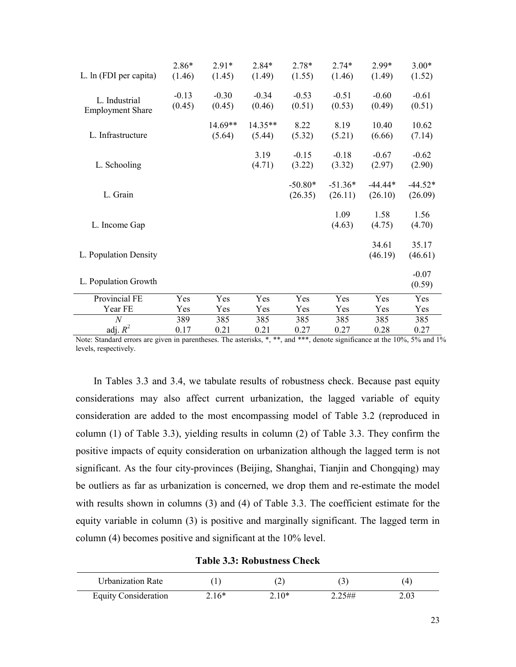|                         | 2.86*   | $2.91*$   | $2.84*$   | $2.78*$   | $2.74*$   | $2.99*$   | $3.00*$   |
|-------------------------|---------|-----------|-----------|-----------|-----------|-----------|-----------|
| L. ln (FDI per capita)  | (1.46)  | (1.45)    | (1.49)    | (1.55)    | (1.46)    | (1.49)    | (1.52)    |
|                         | $-0.13$ | $-0.30$   | $-0.34$   | $-0.53$   | $-0.51$   | $-0.60$   | $-0.61$   |
| L. Industrial           | (0.45)  | (0.45)    | (0.46)    | (0.51)    | (0.53)    | (0.49)    | (0.51)    |
| <b>Employment Share</b> |         |           |           |           |           |           |           |
|                         |         | $14.69**$ | $14.35**$ | 8.22      | 8.19      | 10.40     | 10.62     |
| L. Infrastructure       |         | (5.64)    | (5.44)    | (5.32)    | (5.21)    | (6.66)    | (7.14)    |
|                         |         |           | 3.19      | $-0.15$   | $-0.18$   | $-0.67$   | $-0.62$   |
| L. Schooling            |         |           | (4.71)    | (3.22)    | (3.32)    | (2.97)    | (2.90)    |
|                         |         |           |           |           |           | $-44.44*$ |           |
|                         |         |           |           | $-50.80*$ | $-51.36*$ |           | $-44.52*$ |
| L. Grain                |         |           |           | (26.35)   | (26.11)   | (26.10)   | (26.09)   |
|                         |         |           |           |           | 1.09      | 1.58      | 1.56      |
| L. Income Gap           |         |           |           |           | (4.63)    | (4.75)    | (4.70)    |
|                         |         |           |           |           |           | 34.61     | 35.17     |
| L. Population Density   |         |           |           |           |           | (46.19)   | (46.61)   |
|                         |         |           |           |           |           |           |           |
|                         |         |           |           |           |           |           | $-0.07$   |
| L. Population Growth    |         |           |           |           |           |           | (0.59)    |
| Provincial FE           | Yes     | Yes       | Yes       | Yes       | Yes       | Yes       | Yes       |
| Year FE                 | Yes     | Yes       | Yes       | Yes       | Yes       | Yes       | Yes       |
| $\overline{N}$          | 389     | 385       | 385       | 385       | 385       | 385       | 385       |
| adj. $R^2$              | 0.17    | 0.21      | 0.21      | 0.27      | 0.27      | 0.28      | 0.27      |

Note: Standard errors are given in parentheses. The asterisks, \*, \*\*, and \*\*\*, denote significance at the 10%, 5% and 1% levels, respectively.

In Tables 3.3 and 3.4, we tabulate results of robustness check. Because past equity considerations may also affect current urbanization, the lagged variable of equity consideration are added to the most encompassing model of Table 3.2 (reproduced in column (1) of Table 3.3), yielding results in column (2) of Table 3.3. They confirm the positive impacts of equity consideration on urbanization although the lagged term is not significant. As the four city-provinces (Beijing, Shanghai, Tianjin and Chongqing) may be outliers as far as urbanization is concerned, we drop them and re-estimate the model with results shown in columns (3) and (4) of Table 3.3. The coefficient estimate for the equity variable in column (3) is positive and marginally significant. The lagged term in column (4) becomes positive and significant at the 10% level.

**Table 3.3: Robustness Check**

| Urbanization Rate    |         |         |        |      |
|----------------------|---------|---------|--------|------|
| Equity Consideration | $2.16*$ | $2.10*$ | 2.25## | 2.03 |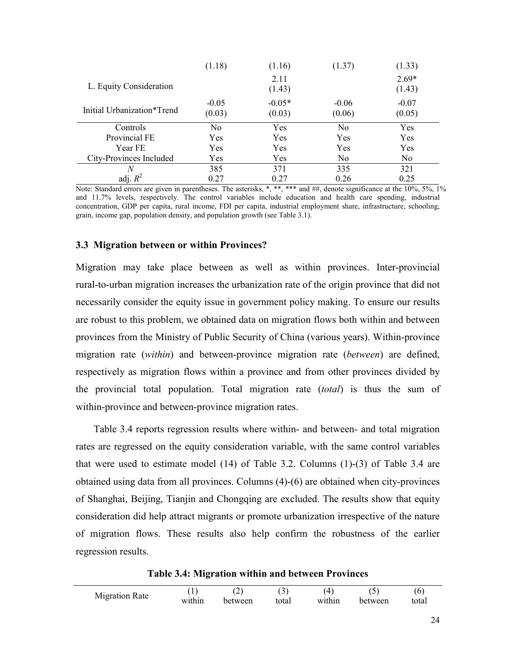|                            | (1.18)            | (1.16)             | (1.37)            | (1.33)            |
|----------------------------|-------------------|--------------------|-------------------|-------------------|
| L. Equity Consideration    |                   | 2.11<br>(1.43)     |                   | $2.69*$<br>(1.43) |
| Initial Urbanization*Trend | $-0.05$<br>(0.03) | $-0.05*$<br>(0.03) | $-0.06$<br>(0.06) | $-0.07$<br>(0.05) |
| Controls                   | N <sub>o</sub>    | <b>Yes</b>         | N <sub>0</sub>    | Yes               |
| Provincial FE              | Yes               | Yes                | Yes               | Yes               |
| Year FE                    | Yes               | Yes                | Yes               | Yes               |
| City-Provinces Included    | Yes               | <b>Yes</b>         | N <sub>0</sub>    | N <sub>0</sub>    |
| N                          | 385               | 371                | 335               | 321               |
| adj. $R^2$                 | 0.27              | 0.27               | 0.26              | 0.25              |

Note: Standard errors are given in parentheses. The asterisks, \*, \*\*, \*\*\* and ##, denote significance at the 10%, 5%, 1% and 11.7% levels, respectively. The control variables include education and health care spending, industrial concentration, GDP per capita, rural income, FDI per capita, industrial employment share, infrastructure, schooling, grain, income gap, population density, and population growth (see Table 3.1).

#### **3.3 Migration between or within Provinces?**

Migration may take place between as well as within provinces. Inter-provincial rural-to-urban migration increases the urbanization rate of the origin province that did not necessarily consider the equity issue in government policy making. To ensure our results are robust to this problem, we obtained data on migration flows both within and between provinces from the Ministry of Public Security of China (various years). Within-province migration rate (*within*) and between-province migration rate (*between*) are defined, respectively as migration flows within a province and from other provinces divided by the provincial total population. Total migration rate (*total*) is thus the sum of within-province and between-province migration rates.

Table 3.4 reports regression results where within- and between- and total migration rates are regressed on the equity consideration variable, with the same control variables that were used to estimate model (14) of Table 3.2. Columns (1)-(3) of Table 3.4 are obtained using data from all provinces. Columns (4)-(6) are obtained when city-provinces of Shanghai, Beijing, Tianjin and Chongqing are excluded. The results show that equity consideration did help attract migrants or promote urbanization irrespective of the nature of migration flows. These results also help confirm the robustness of the earlier regression results.

**Table 3.4: Migration within and between Provinces**

|                | л.     | $\overline{\phantom{a}}$<br>- | ັ     |        |         | 'C    |
|----------------|--------|-------------------------------|-------|--------|---------|-------|
| Migration Rate | within | between                       | total | within | between | total |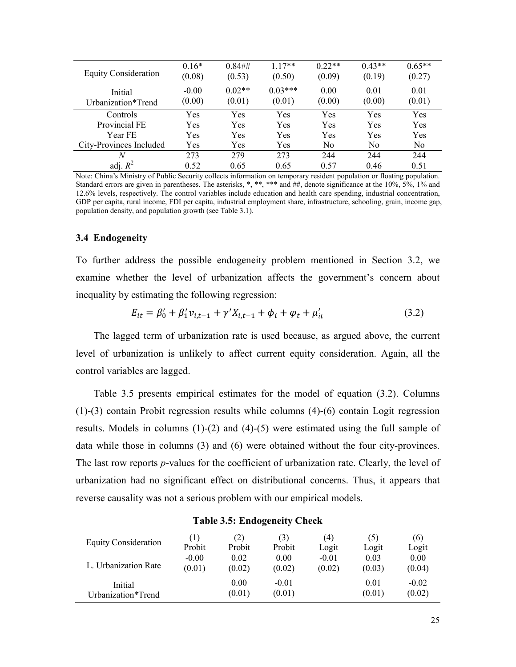| <b>Equity Consideration</b>   | $0.16*$<br>(0.08) | $0.84\#$<br>(0.53) | $1.17**$<br>(0.50)  | $0.22**$<br>(0.09) | $0.43**$<br>(0.19) | $0.65**$<br>(0.27) |
|-------------------------------|-------------------|--------------------|---------------------|--------------------|--------------------|--------------------|
| Initial<br>Urbanization*Trend | $-0.00$<br>(0.00) | $0.02**$<br>(0.01) | $0.03***$<br>(0.01) | 0.00<br>(0.00)     | 0.01<br>(0.00)     | 0.01<br>(0.01)     |
| Controls                      | Yes               | Yes                | Yes                 | Yes                | Yes                | Yes                |
| Provincial FE                 | Yes               | Yes                | Yes                 | Yes                | Yes                | Yes                |
| Year FE                       | Yes               | Yes                | Yes                 | Yes                | Yes                | Yes                |
| City-Provinces Included       | Yes               | Yes                | Yes                 | N <sub>0</sub>     | N <sub>0</sub>     | N <sub>o</sub>     |
| N                             | 273               | 279                | 273                 | 244                | 244                | 244                |
| adj. $R^2$                    | 0.52              | 0.65               | 0.65                | 0.57               | 0.46               | 0.51               |

Note: China's Ministry of Public Security collects information o[n temporary](javascript:void(0);) [resident](javascript:void(0);) [population](javascript:void(0);) or floating population. Standard errors are given in parentheses. The asterisks, \*, \*\*, \*\*\* and ##, denote significance at the 10%, 5%, 1% and 12.6% levels, respectively. The control variables include education and health care spending, industrial concentration, GDP per capita, rural income, FDI per capita, industrial employment share, infrastructure, schooling, grain, income gap, population density, and population growth (see Table 3.1).

#### **3.4 Endogeneity**

To further address the possible endogeneity problem mentioned in Section 3.2, we examine whether the level of urbanization affects the government's concern about inequality by estimating the following regression:

$$
E_{it} = \beta'_0 + \beta'_1 v_{i,t-1} + \gamma' X_{i,t-1} + \phi_i + \varphi_t + \mu'_{it}
$$
 (3.2)

The lagged term of urbanization rate is used because, as argued above, the current level of urbanization is unlikely to affect current equity consideration. Again, all the control variables are lagged.

Table 3.5 presents empirical estimates for the model of equation (3.2). Columns (1)-(3) contain Probit regression results while columns (4)-(6) contain Logit regression results. Models in columns (1)-(2) and (4)-(5) were estimated using the full sample of data while those in columns (3) and (6) were obtained without the four city-provinces. The last row reports *p*-values for the coefficient of urbanization rate. Clearly, the level of urbanization had no significant effect on distributional concerns. Thus, it appears that reverse causality was not a serious problem with our empirical models.

| Equity Consideration | $\left(1\right)$ | (2)    | (3)     | (4)     | (5)    | (6)     |
|----------------------|------------------|--------|---------|---------|--------|---------|
|                      | Probit           | Probit | Probit  | Logit   | Logit  | Logit   |
| L. Urbanization Rate | $-0.00$          | 0.02   | 0.00    | $-0.01$ | 0.03   | 0.00    |
|                      | (0.01)           | (0.02) | (0.02)  | (0.02)  | (0.03) | (0.04)  |
| Initial              |                  | 0.00   | $-0.01$ |         | 0.01   | $-0.02$ |
| Urbanization*Trend   |                  | (0.01) | (0.01)  |         | (0.01) | (0.02)  |

**Table 3.5: Endogeneity Check**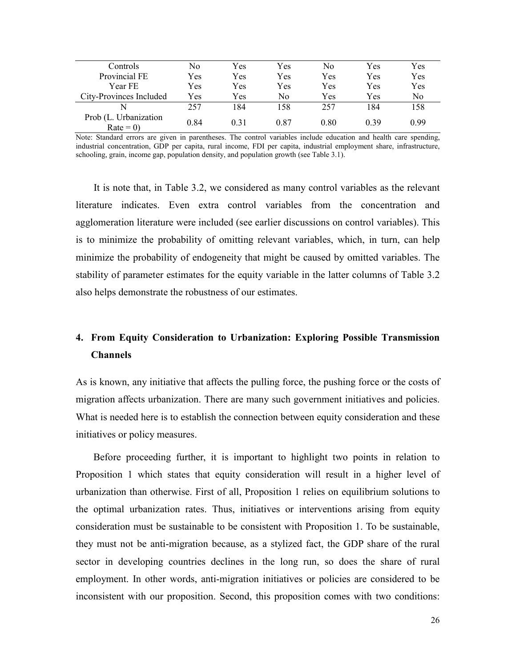| Controls                            | No   | Yes  | Yes  | No   | Yes  | Yes  |
|-------------------------------------|------|------|------|------|------|------|
| Provincial FE                       | Yes  | Yes  | Yes  | Yes  | Yes  | Yes  |
| Year FE                             | Yes  | Yes  | Yes  | Yes  | Yes  | Yes  |
| City-Provinces Included             | Yes  | Yes  | Nο   | Yes  | Yes  | No.  |
| N                                   | 257  | 184  | 158  | 257  | 184  | 158  |
| Prob (L. Urbanization<br>$Rate = 0$ | 0.84 | 0.31 | 0.87 | 0.80 | 0.39 | 0.99 |

Note: Standard errors are given in parentheses. The control variables include education and health care spending, industrial concentration, GDP per capita, rural income, FDI per capita, industrial employment share, infrastructure, schooling, grain, income gap, population density, and population growth (see Table 3.1).

It is note that, in Table 3.2, we considered as many control variables as the relevant literature indicates. Even extra control variables from the concentration and agglomeration literature were included (see earlier discussions on control variables). This is to minimize the probability of omitting relevant variables, which, in turn, can help minimize the probability of endogeneity that might be caused by omitted variables. The stability of parameter estimates for the equity variable in the latter columns of Table 3.2 also helps demonstrate the robustness of our estimates.

## **4. From Equity Consideration to Urbanization: Exploring Possible Transmission Channels**

As is known, any initiative that affects the pulling force, the pushing force or the costs of migration affects urbanization. There are many such government initiatives and policies. What is needed here is to establish the connection between equity consideration and these initiatives or policy measures.

Before proceeding further, it is important to highlight two points in relation to Proposition 1 which states that equity consideration will result in a higher level of urbanization than otherwise. First of all, Proposition 1 relies on equilibrium solutions to the optimal urbanization rates. Thus, initiatives or interventions arising from equity consideration must be sustainable to be consistent with Proposition 1. To be sustainable, they must not be anti-migration because, as a stylized fact, the GDP share of the rural sector in developing countries declines in the long run, so does the share of rural employment. In other words, anti-migration initiatives or policies are considered to be inconsistent with our proposition. Second, this proposition comes with two conditions: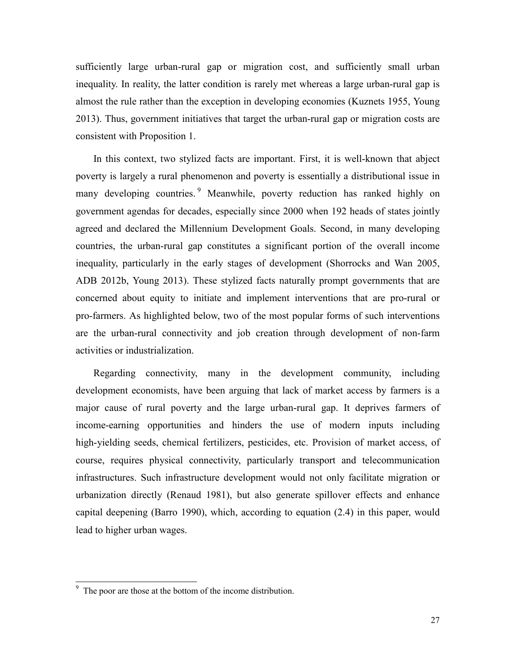sufficiently large urban-rural gap or migration cost, and sufficiently small urban inequality. In reality, the latter condition is rarely met whereas a large urban-rural gap is almost the rule rather than the exception in developing economies (Kuznets 1955, Young 2013). Thus, government initiatives that target the urban-rural gap or migration costs are consistent with Proposition 1.

In this context, two stylized facts are important. First, it is well-known that abject poverty is largely a rural phenomenon and poverty is essentially a distributional issue in many developing countries.<sup>[9](#page-26-0)</sup> Meanwhile, poverty reduction has ranked highly on government agendas for decades, especially since 2000 when 192 heads of states jointly agreed and declared the Millennium Development Goals. Second, in many developing countries, the urban-rural gap constitutes a significant portion of the overall income inequality, particularly in the early stages of development (Shorrocks and Wan 2005, ADB 2012b, Young 2013). These stylized facts naturally prompt governments that are concerned about equity to initiate and implement interventions that are pro-rural or pro-farmers. As highlighted below, two of the most popular forms of such interventions are the urban-rural connectivity and job creation through development of non-farm activities or industrialization.

Regarding connectivity, many in the development community, including development economists, have been arguing that lack of market access by farmers is a major cause of rural poverty and the large urban-rural gap. It deprives farmers of income-earning opportunities and hinders the use of modern inputs including high-yielding seeds, chemical fertilizers, pesticides, etc. Provision of market access, of course, requires physical connectivity, particularly transport and telecommunication infrastructures. Such infrastructure development would not only facilitate migration or urbanization directly (Renaud 1981), but also generate spillover effects and enhance capital deepening (Barro 1990), which, according to equation (2.4) in this paper, would lead to higher urban wages.

<span id="page-26-0"></span> $\frac{9}{9}$  The poor are those at the bottom of the income distribution.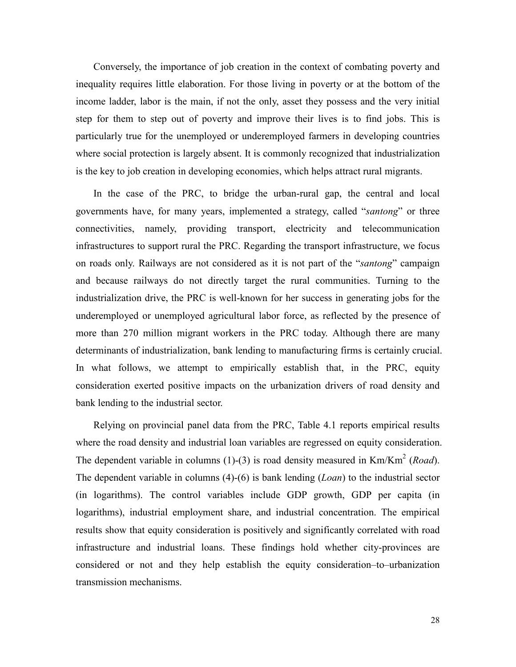Conversely, the importance of job creation in the context of combating poverty and inequality requires little elaboration. For those living in poverty or at the bottom of the income ladder, labor is the main, if not the only, asset they possess and the very initial step for them to step out of poverty and improve their lives is to find jobs. This is particularly true for the unemployed or underemployed farmers in developing countries where social protection is largely absent. It is commonly recognized that industrialization is the key to job creation in developing economies, which helps attract rural migrants.

In the case of the PRC, to bridge the urban-rural gap, the central and local governments have, for many years, implemented a strategy, called "*santong*" or three connectivities, namely, providing transport, electricity and telecommunication infrastructures to support rural the PRC. Regarding the transport infrastructure, we focus on roads only. Railways are not considered as it is not part of the "*santong*" campaign and because railways do not directly target the rural communities. Turning to the industrialization drive, the PRC is well-known for her success in generating jobs for the underemployed or unemployed agricultural labor force, as reflected by the presence of more than 270 million migrant workers in the PRC today. Although there are many determinants of industrialization, bank lending to manufacturing firms is certainly crucial. In what follows, we attempt to empirically establish that, in the PRC, equity consideration exerted positive impacts on the urbanization drivers of road density and bank lending to the industrial sector.

Relying on provincial panel data from the PRC, Table 4.1 reports empirical results where the road density and industrial loan variables are regressed on equity consideration. The dependent variable in columns (1)-(3) is road density measured in Km/Km<sup>2</sup> (*Road*). The dependent variable in columns (4)-(6) is bank lending (*Loan*) to the industrial sector (in logarithms). The control variables include GDP growth, GDP per capita (in logarithms), industrial employment share, and industrial concentration. The empirical results show that equity consideration is positively and significantly correlated with road infrastructure and industrial loans. These findings hold whether city-provinces are considered or not and they help establish the equity consideration–to–urbanization transmission mechanisms.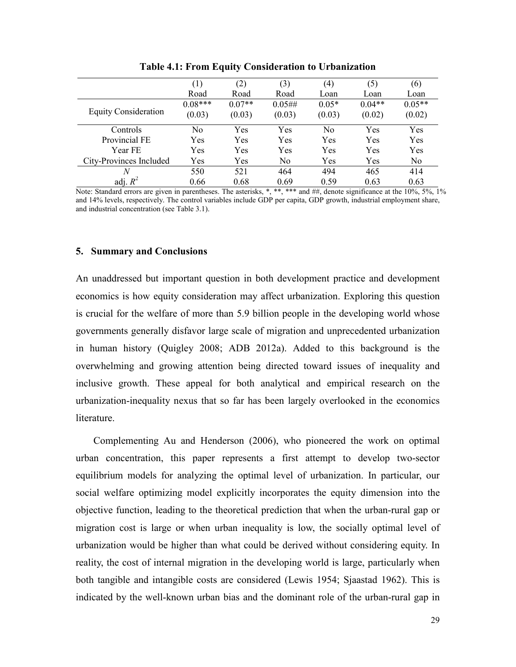|                             | (1)       | (2)      | (3)            | (4)     | (5)      | (6)            |  |
|-----------------------------|-----------|----------|----------------|---------|----------|----------------|--|
|                             | Road      | Road     | Road           | Loan    | Loan     | Loan           |  |
| <b>Equity Consideration</b> | $0.08***$ | $0.07**$ | 0.05#          | $0.05*$ | $0.04**$ | $0.05**$       |  |
|                             | (0.03)    | (0.03)   | (0.03)         | (0.03)  | (0.02)   | (0.02)         |  |
|                             |           |          |                |         |          |                |  |
| Controls                    | No        | Yes      | Yes            | No      | Yes      | Yes            |  |
| Provincial FE               | Yes       | Yes      | Yes            | Yes     | Yes      | Yes            |  |
| Year FE                     | Yes       | Yes      | Yes            | Yes     | Yes      | Yes            |  |
| City-Provinces Included     | Yes       | Yes      | N <sub>0</sub> | Yes     | Yes      | N <sub>0</sub> |  |
| N                           | 550       | 521      | 464            | 494     | 465      | 414            |  |
| adj. $R^2$                  | 0.66      | 0.68     | 0.69           | 0.59    | 0.63     | 0.63           |  |

**Table 4.1: From Equity Consideration to Urbanization**

Note: Standard errors are given in parentheses. The asterisks, \*, \*\*, \*\*\* and ##, denote significance at the 10%, 5%, 1% and 14% levels, respectively. The control variables include GDP per capita, GDP growth, industrial employment share, and industrial concentration (see Table 3.1).

#### **5. Summary and Conclusions**

An unaddressed but important question in both development practice and development economics is how equity consideration may affect urbanization. Exploring this question is crucial for the welfare of more than 5.9 billion people in the developing world whose governments generally disfavor large scale of migration and unprecedented urbanization in human history (Quigley 2008; ADB 2012a). Added to this background is the overwhelming and growing attention being directed toward issues of inequality and inclusive growth. These appeal for both analytical and empirical research on the urbanization-inequality nexus that so far has been largely overlooked in the economics literature.

Complementing Au and Henderson (2006), who pioneered the work on optimal urban concentration, this paper represents a first attempt to develop two-sector equilibrium models for analyzing the optimal level of urbanization. In particular, our social welfare optimizing model explicitly incorporates the equity dimension into the objective function, leading to the theoretical prediction that when the urban-rural gap or migration cost is large or when urban inequality is low, the socially optimal level of urbanization would be higher than what could be derived without considering equity. In reality, the cost of internal migration in the developing world is large, particularly when both tangible and intangible costs are considered (Lewis 1954; Sjaastad 1962). This is indicated by the well-known urban bias and the dominant role of the urban-rural gap in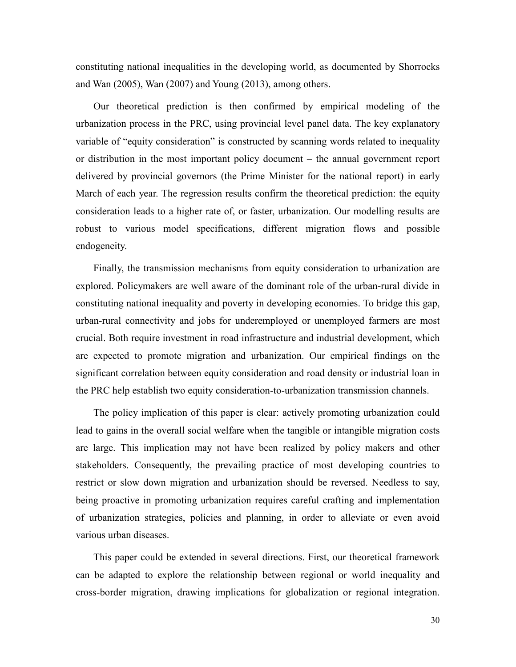constituting national inequalities in the developing world, as documented by Shorrocks and Wan (2005), Wan (2007) and Young (2013), among others.

Our theoretical prediction is then confirmed by empirical modeling of the urbanization process in the PRC, using provincial level panel data. The key explanatory variable of "equity consideration" is constructed by scanning words related to inequality or distribution in the most important policy document – the annual government report delivered by provincial governors (the Prime Minister for the national report) in early March of each year. The regression results confirm the theoretical prediction: the equity consideration leads to a higher rate of, or faster, urbanization. Our modelling results are robust to various model specifications, different migration flows and possible endogeneity.

Finally, the transmission mechanisms from equity consideration to urbanization are explored. Policymakers are well aware of the dominant role of the urban-rural divide in constituting national inequality and poverty in developing economies. To bridge this gap, urban-rural connectivity and jobs for underemployed or unemployed farmers are most crucial. Both require investment in road infrastructure and industrial development, which are expected to promote migration and urbanization. Our empirical findings on the significant correlation between equity consideration and road density or industrial loan in the PRC help establish two equity consideration-to-urbanization transmission channels.

The policy implication of this paper is clear: actively promoting urbanization could lead to gains in the overall social welfare when the tangible or intangible migration costs are large. This implication may not have been realized by policy makers and other stakeholders. Consequently, the prevailing practice of most developing countries to restrict or slow down migration and urbanization should be reversed. Needless to say, being proactive in promoting urbanization requires careful crafting and implementation of urbanization strategies, policies and planning, in order to alleviate or even avoid various urban diseases.

This paper could be extended in several directions. First, our theoretical framework can be adapted to explore the relationship between regional or world inequality and cross-border migration, drawing implications for globalization or regional integration.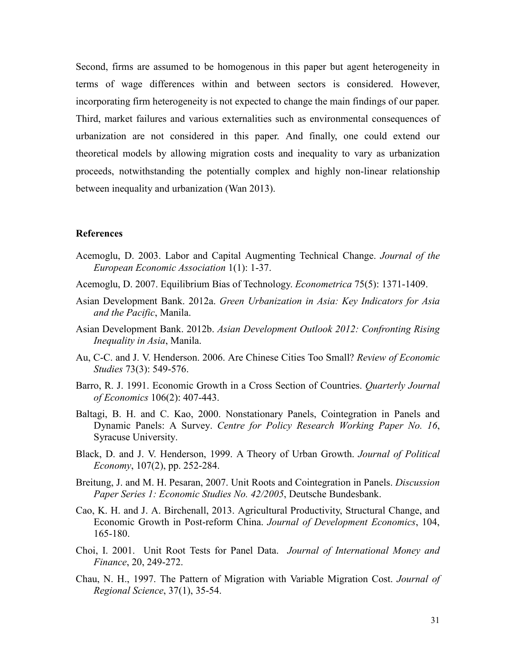Second, firms are assumed to be homogenous in this paper but agent heterogeneity in terms of wage differences within and between sectors is considered. However, incorporating firm heterogeneity is not expected to change the main findings of our paper. Third, market failures and various externalities such as environmental consequences of urbanization are not considered in this paper. And finally, one could extend our theoretical models by allowing migration costs and inequality to vary as urbanization proceeds, notwithstanding the potentially complex and highly non-linear relationship between inequality and urbanization (Wan 2013).

#### **References**

- Acemoglu, D. 2003. Labor and Capital Augmenting Technical Change. *Journal of the European Economic Association* 1(1): 1-37.
- Acemoglu, D. 2007. Equilibrium Bias of Technology. *Econometrica* 75(5): 1371-1409.
- Asian Development Bank. 2012a. *Green Urbanization in Asia: Key Indicators for Asia and the Pacific*, Manila.
- Asian Development Bank. 2012b. *Asian Development Outlook 2012: Confronting Rising Inequality in Asia*, Manila.
- Au, C-C. and J. V. Henderson. 2006. Are Chinese Cities Too Small? *Review of Economic Studies* 73(3): 549-576.
- Barro, R. J. 1991. Economic Growth in a Cross Section of Countries. *Quarterly Journal of Economics* 106(2): 407-443.
- Baltagi, B. H. and C. Kao, 2000. Nonstationary Panels, Cointegration in Panels and Dynamic Panels: A Survey. *Centre for Policy Research Working Paper No. 16*, Syracuse University.
- Black, D. and J. V. Henderson, 1999. A Theory of Urban Growth. *Journal of Political Economy*, 107(2), pp. 252-284.
- Breitung, J. and M. H. Pesaran, 2007. Unit Roots and Cointegration in Panels. *Discussion Paper Series 1: Economic Studies No. 42/2005*, Deutsche Bundesbank.
- Cao, K. H. and J. A. Birchenall, 2013. Agricultural Productivity, Structural Change, and Economic Growth in Post-reform China. *Journal of Development Economics*, 104, 165-180.
- Choi, I. 2001. Unit Root Tests for Panel Data. *Journal of International Money and Finance*, 20, 249-272.
- Chau, N. H., 1997. The Pattern of Migration with Variable Migration Cost. *Journal of Regional Science*, 37(1), 35-54.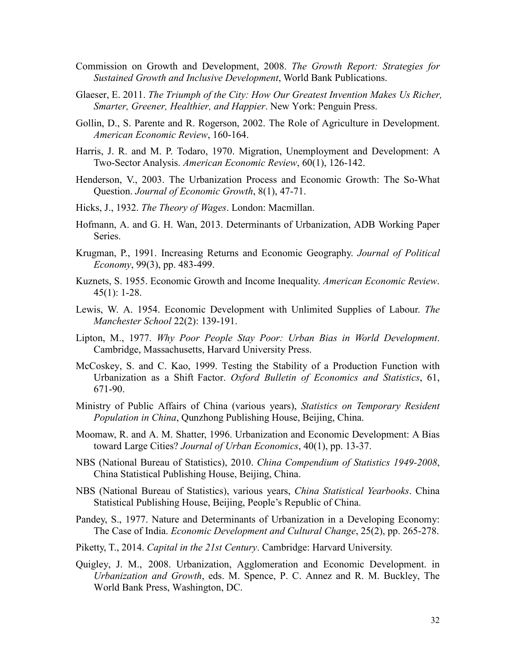- Commission on Growth and Development, 2008. *The Growth Report: Strategies for Sustained Growth and Inclusive Development*, World Bank Publications.
- Glaeser, E. 2011. *The Triumph of the City: How Our Greatest Invention Makes Us Richer, Smarter, Greener, Healthier, and Happier*. New York: Penguin Press.
- Gollin, D., S. Parente and R. Rogerson, 2002. The Role of Agriculture in Development. *American Economic Review*, 160-164.
- Harris, J. R. and M. P. Todaro, 1970. Migration, Unemployment and Development: A Two-Sector Analysis. *American Economic Review*, 60(1), 126-142.
- Henderson, V., 2003. The Urbanization Process and Economic Growth: The So-What Question. *[Journal of Economic Growth](https://ideas.repec.org/s/kap/jecgro.html)*, 8(1), 47-71.
- Hicks, J., 1932. *The Theory of Wages*. London: Macmillan.
- Hofmann, A. and G. H. Wan, 2013. Determinants of Urbanization, ADB Working Paper Series.
- Krugman, P., 1991. Increasing Returns and Economic Geography. *Journal of Political Economy*, 99(3), pp. 483-499.
- Kuznets, S. 1955. Economic Growth and Income Inequality. *American Economic Review*. 45(1): 1-28.
- Lewis, W. A. 1954. Economic Development with Unlimited Supplies of Labour. *The Manchester School* 22(2): 139-191.
- Lipton, M., 1977. *Why Poor People Stay Poor: Urban Bias in World Development*. Cambridge, Massachusetts, Harvard University Press.
- McCoskey, S. and C. Kao, 1999. Testing the Stability of a Production Function with Urbanization as a Shift Factor. *Oxford Bulletin of Economics and Statistics*, 61, 671-90.
- Ministry of Public Affairs of China (various years), *Statistics on Temporary Resident Population in China*, Qunzhong Publishing House, Beijing, China.
- Moomaw, R. and A. M. Shatter, 1996. Urbanization and Economic Development: A Bias toward Large Cities? *Journal of Urban Economics*, 40(1), pp. 13-37.
- NBS (National Bureau of Statistics), 2010. *China Compendium of Statistics 1949-2008*, China Statistical Publishing House, Beijing, China.
- NBS (National Bureau of Statistics), various years, *China Statistical Yearbooks*. China Statistical Publishing House, Beijing, People's Republic of China.
- Pandey, S., 1977. Nature and Determinants of Urbanization in a Developing Economy: The Case of India. *Economic Development and Cultural Change*, 25(2), pp. 265-278.
- Piketty, T., 2014. *Capital in the 21st Century*. Cambridge: Harvard University.
- Quigley, J. M., 2008. Urbanization, Agglomeration and Economic Development. in *Urbanization and Growth*, eds. M. Spence, P. C. Annez and R. M. Buckley, The World Bank Press, Washington, DC.